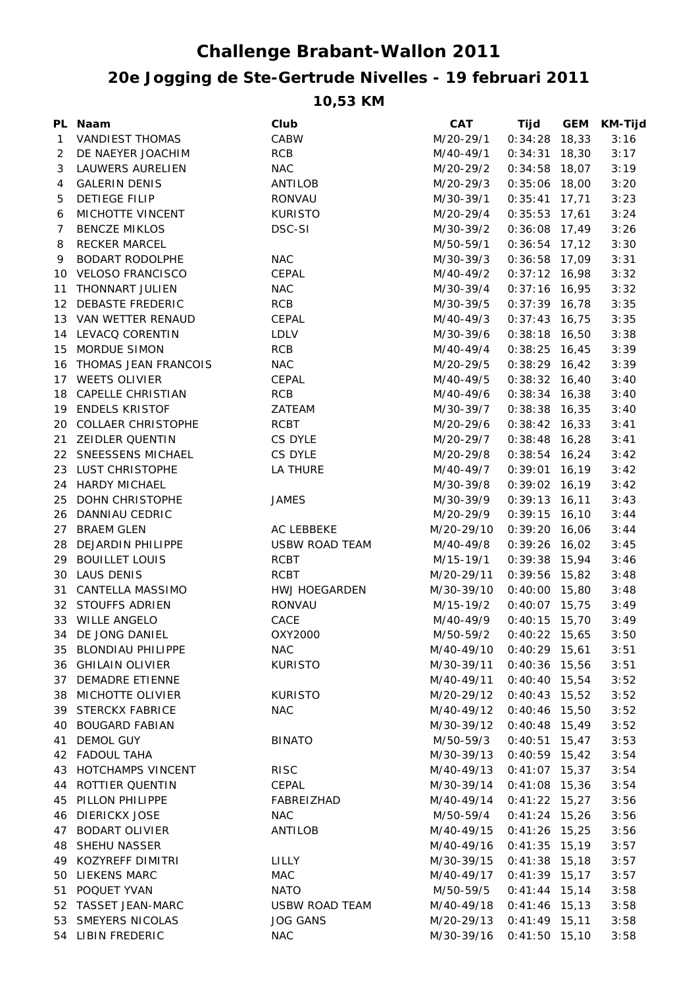## **Challenge Brabant-Wallon 2011**

## **20e Jogging de Ste-Gertrude Nivelles - 19 februari 2011**

**10,53 KM**

|                | PL Naam                 | Club                  | CAT        | Tijd            | <b>GEM</b> | <b>KM-Tijd</b> |
|----------------|-------------------------|-----------------------|------------|-----------------|------------|----------------|
| 1              | <b>VANDIEST THOMAS</b>  | CABW                  | M/20-29/1  | $0:34:28$ 18,33 |            | 3:16           |
| $\overline{2}$ | DE NAEYER JOACHIM       | <b>RCB</b>            | M/40-49/1  | $0:34:31$ 18,30 |            | 3:17           |
| 3              | LAUWERS AURELIEN        | <b>NAC</b>            | M/20-29/2  | $0:34:58$ 18,07 |            | 3:19           |
| 4              | <b>GALERIN DENIS</b>    | ANTILOB               | M/20-29/3  | $0:35:06$ 18,00 |            | 3:20           |
| 5              | <b>DETIEGE FILIP</b>    | RONVAU                | M/30-39/1  | $0:35:41$ 17,71 |            | 3:23           |
| 6              | MICHOTTE VINCENT        | <b>KURISTO</b>        | M/20-29/4  | $0:35:53$ 17,61 |            | 3:24           |
| $\overline{7}$ | <b>BENCZE MIKLOS</b>    | DSC-SI                | M/30-39/2  | $0:36:08$ 17,49 |            | 3:26           |
| 8              | <b>RECKER MARCEL</b>    |                       | M/50-59/1  | $0:36:54$ 17,12 |            | 3:30           |
| 9              | BODART RODOLPHE         | <b>NAC</b>            | M/30-39/3  | $0:36:58$ 17,09 |            | 3:31           |
|                | 10 VELOSO FRANCISCO     | CEPAL                 | M/40-49/2  | $0:37:12$ 16,98 |            | 3:32           |
|                | 11 THONNART JULIEN      | <b>NAC</b>            | M/30-39/4  | $0:37:16$ 16,95 |            | 3:32           |
|                | 12 DEBASTE FREDERIC     | RCB                   | M/30-39/5  | $0:37:39$ 16,78 |            | 3:35           |
|                | 13 VAN WETTER RENAUD    | CEPAL                 | M/40-49/3  | $0:37:43$ 16,75 |            | 3:35           |
|                | 14 LEVACQ CORENTIN      | LDLV                  | M/30-39/6  | $0:38:18$ 16,50 |            | 3:38           |
|                | 15 MORDUE SIMON         | RCB                   | M/40-49/4  | $0:38:25$ 16,45 |            | 3:39           |
|                | 16 THOMAS JEAN FRANCOIS | <b>NAC</b>            | M/20-29/5  | $0:38:29$ 16,42 |            | 3:39           |
|                | 17 WEETS OLIVIER        | CEPAL                 | M/40-49/5  | $0:38:32$ 16,40 |            | 3:40           |
|                | 18 CAPELLE CHRISTIAN    | <b>RCB</b>            | M/40-49/6  | $0:38:34$ 16,38 |            | 3:40           |
|                | 19 ENDELS KRISTOF       | ZATEAM                | M/30-39/7  | $0:38:38$ 16,35 |            | 3:40           |
|                | 20 COLLAER CHRISTOPHE   | <b>RCBT</b>           | M/20-29/6  | $0:38:42$ 16,33 |            | 3:41           |
|                | 21 ZEIDLER QUENTIN      | CS DYLE               | M/20-29/7  | $0:38:48$ 16,28 |            | 3:41           |
|                | 22 SNEESSENS MICHAEL    | CS DYLE               | M/20-29/8  | $0:38:54$ 16,24 |            | 3:42           |
|                | 23 LUST CHRISTOPHE      | LA THURE              | M/40-49/7  | $0:39:01$ 16,19 |            | 3:42           |
|                | 24 HARDY MICHAEL        |                       | M/30-39/8  | $0:39:02$ 16,19 |            | 3:42           |
|                | 25 DOHN CHRISTOPHE      | JAMES                 | M/30-39/9  | $0:39:13$ 16,11 |            | 3:43           |
|                | 26 DANNIAU CEDRIC       |                       | M/20-29/9  | $0:39:15$ 16,10 |            | 3:44           |
|                | 27 BRAEM GLEN           | AC LEBBEKE            | M/20-29/10 | $0:39:20$ 16,06 |            | 3:44           |
|                | 28 DEJARDIN PHILIPPE    | <b>USBW ROAD TEAM</b> | M/40-49/8  | $0:39:26$ 16,02 |            | 3:45           |
|                | 29 BOUILLET LOUIS       | <b>RCBT</b>           | M/15-19/1  | $0:39:38$ 15,94 |            | 3:46           |
|                | 30 LAUS DENIS           | <b>RCBT</b>           | M/20-29/11 | $0:39:56$ 15,82 |            | 3:48           |
|                | 31 CANTELLA MASSIMO     | HWJ HOEGARDEN         | M/30-39/10 | $0:40:00$ 15,80 |            | 3:48           |
|                | 32 STOUFFS ADRIEN       | RONVAU                | M/15-19/2  | $0:40:07$ 15,75 |            | 3:49           |
|                | 33 WILLE ANGELO         | CACE                  | M/40-49/9  | $0:40:15$ 15,70 |            | 3:49           |
|                | 34 DE JONG DANIEL       | OXY2000               | M/50-59/2  | $0:40:22$ 15,65 |            | 3:50           |
|                | 35 BLONDIAU PHILIPPE    | <b>NAC</b>            | M/40-49/10 | $0:40:29$ 15,61 |            | 3:51           |
|                | 36 GHILAIN OLIVIER      | <b>KURISTO</b>        | M/30-39/11 | $0:40:36$ 15,56 |            | 3:51           |
|                | 37 DEMADRE ETIENNE      |                       | M/40-49/11 | $0:40:40$ 15,54 |            | 3:52           |
|                | 38 MICHOTTE OLIVIER     | <b>KURISTO</b>        | M/20-29/12 | $0:40:43$ 15,52 |            | 3:52           |
| 39             | <b>STERCKX FABRICE</b>  | <b>NAC</b>            | M/40-49/12 | $0:40:46$ 15,50 |            | 3:52           |
| 40             | <b>BOUGARD FABIAN</b>   |                       | M/30-39/12 | $0:40:48$ 15,49 |            | 3:52           |
| 41             | <b>DEMOL GUY</b>        | <b>BINATO</b>         | M/50-59/3  | $0:40:51$ 15,47 |            | 3:53           |
|                | 42 FADOUL TAHA          |                       | M/30-39/13 | $0:40:59$ 15,42 |            | 3:54           |
|                | 43 HOTCHAMPS VINCENT    | <b>RISC</b>           | M/40-49/13 | $0:41:07$ 15,37 |            | 3:54           |
|                | 44 ROTTIER QUENTIN      | CEPAL                 | M/30-39/14 | $0:41:08$ 15,36 |            | 3:54           |
| 45             | PILLON PHILIPPE         | FABREIZHAD            | M/40-49/14 | $0:41:22$ 15,27 |            | 3:56           |
| 46             | <b>DIERICKX JOSE</b>    | <b>NAC</b>            | M/50-59/4  | $0:41:24$ 15,26 |            | 3:56           |
| 47             | <b>BODART OLIVIER</b>   | ANTILOB               | M/40-49/15 | $0:41:26$ 15,25 |            | 3:56           |
| 48             | <b>SHEHU NASSER</b>     |                       | M/40-49/16 | $0:41:35$ 15,19 |            | 3:57           |
|                | 49 KOZYREFF DIMITRI     | LILLY                 | M/30-39/15 | $0:41:38$ 15,18 |            | 3:57           |
| 50             | LIEKENS MARC            | MAC                   | M/40-49/17 | $0:41:39$ 15,17 |            | 3:57           |
| 51             | POQUET YVAN             | <b>NATO</b>           | M/50-59/5  | $0:41:44$ 15,14 |            | 3:58           |
|                | 52 TASSET JEAN-MARC     | <b>USBW ROAD TEAM</b> | M/40-49/18 | $0:41:46$ 15,13 |            | 3:58           |
|                | 53 SMEYERS NICOLAS      | <b>JOG GANS</b>       | M/20-29/13 | $0:41:49$ 15,11 |            | 3:58           |
|                | 54 LIBIN FREDERIC       | <b>NAC</b>            | M/30-39/16 | $0:41:50$ 15,10 |            | 3:58           |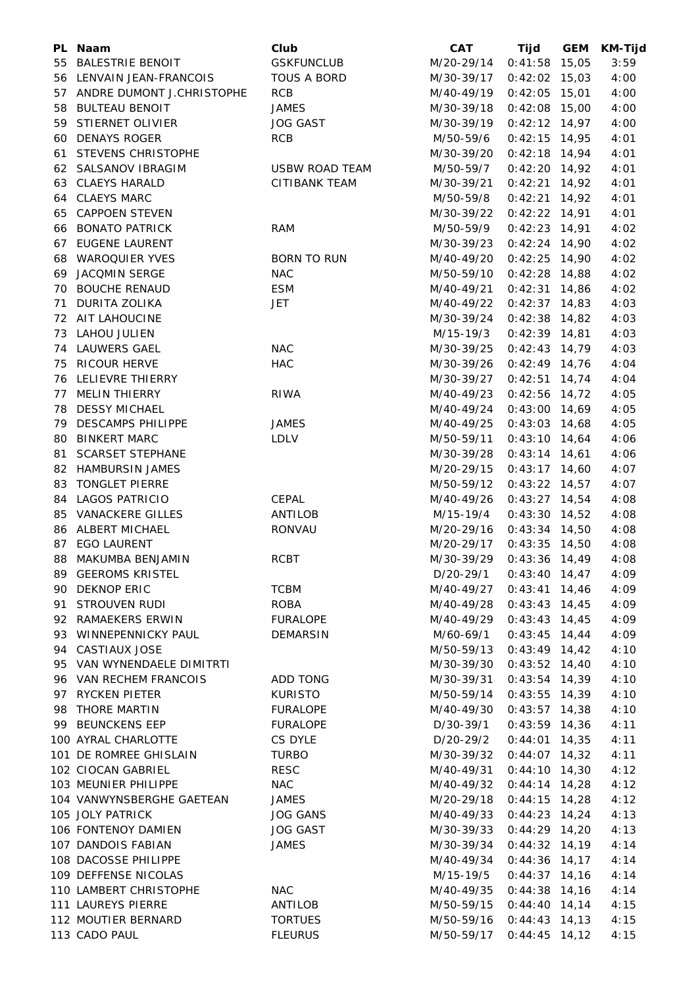|    | PL Naam                      | Club                  | <b>CAT</b> | Tijd            | <b>GEM</b> | <b>KM-Tijd</b> |
|----|------------------------------|-----------------------|------------|-----------------|------------|----------------|
|    | 55 BALESTRIE BENOIT          | <b>GSKFUNCLUB</b>     | M/20-29/14 | $0:41:58$ 15,05 |            | 3:59           |
|    | 56 LENVAIN JEAN-FRANCOIS     | <b>TOUS A BORD</b>    | M/30-39/17 | $0:42:02$ 15,03 |            | 4:00           |
|    | 57 ANDRE DUMONT J.CHRISTOPHE | <b>RCB</b>            | M/40-49/19 | $0:42:05$ 15,01 |            | 4:00           |
|    | 58 BULTEAU BENOIT            | <b>JAMES</b>          | M/30-39/18 | $0:42:08$ 15,00 |            | 4:00           |
|    | 59 STIERNET OLIVIER          | <b>JOG GAST</b>       | M/30-39/19 | $0:42:12$ 14,97 |            | 4:00           |
|    | 60 DENAYS ROGER              | <b>RCB</b>            | M/50-59/6  | $0:42:15$ 14,95 |            | 4:01           |
|    | 61 STEVENS CHRISTOPHE        |                       | M/30-39/20 | $0:42:18$ 14,94 |            | 4:01           |
|    | 62 SALSANOV IBRAGIM          | <b>USBW ROAD TEAM</b> | M/50-59/7  | $0:42:20$ 14,92 |            | 4:01           |
|    | 63 CLAEYS HARALD             | <b>CITIBANK TEAM</b>  | M/30-39/21 | $0:42:21$ 14,92 |            | 4:01           |
|    | 64 CLAEYS MARC               |                       | M/50-59/8  | $0:42:21$ 14,92 |            | 4:01           |
|    | 65 CAPPOEN STEVEN            |                       | M/30-39/22 | $0:42:22$ 14,91 |            | 4:01           |
|    | 66 BONATO PATRICK            | <b>RAM</b>            | M/50-59/9  | $0:42:23$ 14,91 |            | 4:02           |
|    | 67 EUGENE LAURENT            |                       | M/30-39/23 | $0:42:24$ 14,90 |            | 4:02           |
| 68 | <b>WAROQUIER YVES</b>        | <b>BORN TO RUN</b>    | M/40-49/20 | $0:42:25$ 14,90 |            | 4:02           |
|    | 69 JACQMIN SERGE             | <b>NAC</b>            | M/50-59/10 | $0:42:28$ 14,88 |            | 4:02           |
|    | 70 BOUCHE RENAUD             | <b>ESM</b>            | M/40-49/21 | $0:42:31$ 14,86 |            | 4:02           |
|    | 71 DURITA ZOLIKA             | <b>JET</b>            | M/40-49/22 | $0:42:37$ 14,83 |            | 4:03           |
|    | 72 AIT LAHOUCINE             |                       | M/30-39/24 | $0:42:38$ 14,82 |            | 4:03           |
|    | 73 LAHOU JULIEN              |                       | M/15-19/3  | $0:42:39$ 14,81 |            | 4:03           |
|    | 74 LAUWERS GAEL              | <b>NAC</b>            | M/30-39/25 | $0:42:43$ 14,79 |            | 4:03           |
| 75 | <b>RICOUR HERVE</b>          | <b>HAC</b>            | M/30-39/26 | $0:42:49$ 14,76 |            | 4:04           |
| 76 | LELIEVRE THIERRY             |                       | M/30-39/27 | $0:42:51$ 14,74 |            | 4:04           |
|    | 77 MELIN THIERRY             | <b>RIWA</b>           | M/40-49/23 | $0:42:56$ 14,72 |            | 4:05           |
|    | 78 DESSY MICHAEL             |                       | M/40-49/24 | $0:43:00$ 14,69 |            | 4:05           |
|    |                              |                       |            |                 |            |                |
|    | 79 DESCAMPS PHILIPPE         | <b>JAMES</b>          | M/40-49/25 | $0:43:03$ 14,68 |            | 4:05           |
|    | 80 BINKERT MARC              | <b>LDLV</b>           | M/50-59/11 | $0:43:10$ 14,64 |            | 4:06           |
|    | 81 SCARSET STEPHANE          |                       | M/30-39/28 | $0:43:14$ 14,61 |            | 4:06           |
|    | 82 HAMBURSIN JAMES           |                       | M/20-29/15 | $0:43:17$ 14,60 |            | 4:07           |
| 83 | <b>TONGLET PIERRE</b>        |                       | M/50-59/12 | $0:43:22$ 14,57 |            | 4:07           |
|    | 84 LAGOS PATRICIO            | <b>CEPAL</b>          | M/40-49/26 | $0:43:27$ 14,54 |            | 4:08           |
|    | 85 VANACKERE GILLES          | ANTILOB               | M/15-19/4  | $0:43:30$ 14,52 |            | 4:08           |
|    | 86 ALBERT MICHAEL            | RONVAU                | M/20-29/16 | $0:43:34$ 14,50 |            | 4:08           |
|    | 87 EGO LAURENT               |                       | M/20-29/17 | $0:43:35$ 14,50 |            | 4:08           |
|    | 88 MAKUMBA BENJAMIN          | <b>RCBT</b>           | M/30-39/29 | $0:43:36$ 14,49 |            | 4:08           |
|    | 89 GEEROMS KRISTEL           |                       | D/20-29/1  | $0:43:40$ 14,47 |            | 4:09           |
|    | 90 DEKNOP ERIC               | <b>TCBM</b>           | M/40-49/27 | $0:43:41$ 14,46 |            | 4:09           |
|    | 91 STROUVEN RUDI             | <b>ROBA</b>           | M/40-49/28 | $0:43:43$ 14,45 |            | 4:09           |
|    | 92 RAMAEKERS ERWIN           | <b>FURALOPE</b>       | M/40-49/29 | $0:43:43$ 14,45 |            | 4:09           |
|    | 93 WINNEPENNICKY PAUL        | <b>DEMARSIN</b>       | M/60-69/1  | $0:43:45$ 14,44 |            | 4:09           |
|    | 94 CASTIAUX JOSE             |                       | M/50-59/13 | $0:43:49$ 14,42 |            | 4:10           |
|    | 95 VAN WYNENDAELE DIMITRTI   |                       | M/30-39/30 | $0:43:52$ 14,40 |            | 4:10           |
|    | 96 VAN RECHEM FRANCOIS       | ADD TONG              | M/30-39/31 | $0:43:54$ 14,39 |            | 4:10           |
|    | 97 RYCKEN PIETER             | <b>KURISTO</b>        | M/50-59/14 | $0:43:55$ 14,39 |            | 4:10           |
|    | 98 THORE MARTIN              | <b>FURALOPE</b>       | M/40-49/30 | $0:43:57$ 14,38 |            | 4:10           |
|    | 99 BEUNCKENS EEP             | <b>FURALOPE</b>       | D/30-39/1  | $0:43:59$ 14,36 |            | 4:11           |
|    | 100 AYRAL CHARLOTTE          | CS DYLE               | D/20-29/2  | $0:44:01$ 14,35 |            | 4:11           |
|    | 101 DE ROMREE GHISLAIN       | <b>TURBO</b>          | M/30-39/32 | $0:44:07$ 14,32 |            | 4:11           |
|    | 102 CIOCAN GABRIEL           | <b>RESC</b>           | M/40-49/31 | $0:44:10$ 14,30 |            | 4:12           |
|    | 103 MEUNIER PHILIPPE         | <b>NAC</b>            | M/40-49/32 | $0:44:14$ 14,28 |            | 4:12           |
|    | 104 VANWYNSBERGHE GAETEAN    | <b>JAMES</b>          | M/20-29/18 | $0:44:15$ 14,28 |            | 4:12           |
|    | 105 JOLY PATRICK             | <b>JOG GANS</b>       | M/40-49/33 | $0:44:23$ 14,24 |            | 4:13           |
|    | 106 FONTENOY DAMIEN          | <b>JOG GAST</b>       | M/30-39/33 | $0:44:29$ 14,20 |            | 4:13           |
|    | 107 DANDOIS FABIAN           | <b>JAMES</b>          | M/30-39/34 | $0:44:32$ 14,19 |            | 4:14           |
|    | 108 DACOSSE PHILIPPE         |                       | M/40-49/34 | $0:44:36$ 14,17 |            | 4:14           |
|    | 109 DEFFENSE NICOLAS         |                       | M/15-19/5  | $0:44:37$ 14,16 |            | 4:14           |
|    | 110 LAMBERT CHRISTOPHE       | NAC                   | M/40-49/35 | $0:44:38$ 14,16 |            | 4:14           |
|    | 111 LAUREYS PIERRE           | ANTILOB               | M/50-59/15 | $0:44:40$ 14,14 |            | 4:15           |
|    | 112 MOUTIER BERNARD          | <b>TORTUES</b>        | M/50-59/16 | $0:44:43$ 14,13 |            | 4:15           |
|    | 113 CADO PAUL                | <b>FLEURUS</b>        | M/50-59/17 | $0:44:45$ 14,12 |            | 4:15           |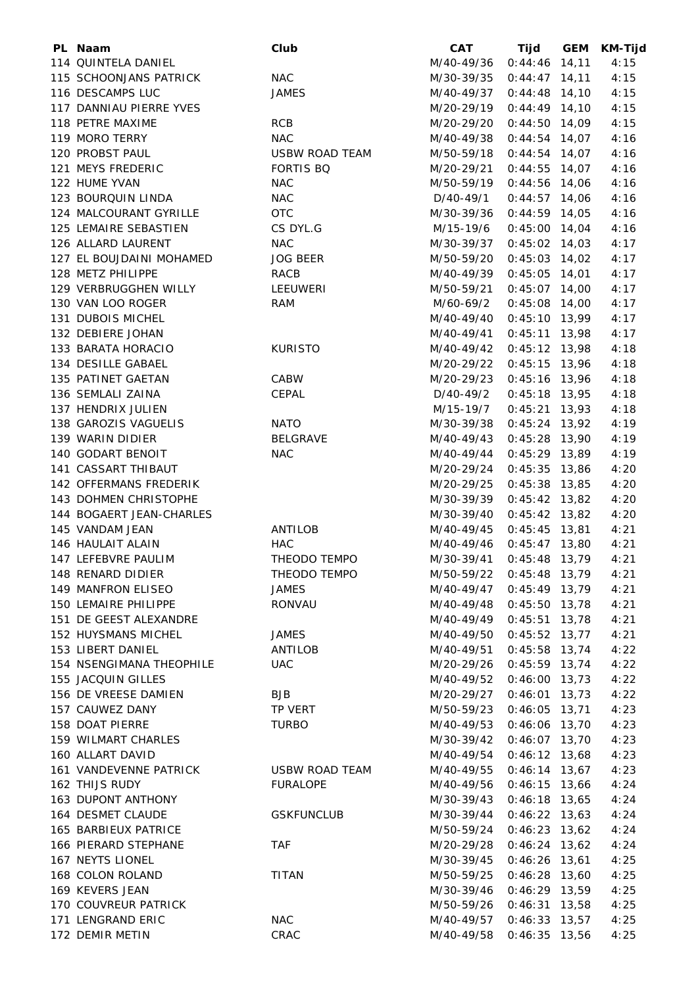| PL Naam                   | Club                  | <b>CAT</b> | Tijd                               | GEM | <b>KM-Tijd</b> |
|---------------------------|-----------------------|------------|------------------------------------|-----|----------------|
| 114 QUINTELA DANIEL       |                       | M/40-49/36 | $0:44:46$ 14,11                    |     | 4:15           |
| 115 SCHOONJANS PATRICK    | <b>NAC</b>            | M/30-39/35 | $0:44:47$ 14,11                    |     | 4:15           |
| 116 DESCAMPS LUC          | <b>JAMES</b>          | M/40-49/37 | $0:44:48$ 14,10                    |     | 4:15           |
| 117 DANNIAU PIERRE YVES   |                       | M/20-29/19 | $0:44:49$ 14,10                    |     | 4:15           |
| 118 PETRE MAXIME          | <b>RCB</b>            | M/20-29/20 | $0:44:50$ 14,09                    |     | 4:15           |
| 119 MORO TERRY            | <b>NAC</b>            | M/40-49/38 | $0:44:54$ 14,07                    |     | 4:16           |
| 120 PROBST PAUL           | <b>USBW ROAD TEAM</b> | M/50-59/18 | $0:44:54$ 14,07                    |     | 4:16           |
| 121 MEYS FREDERIC         | <b>FORTIS BQ</b>      | M/20-29/21 | $0:44:55$ 14,07                    |     | 4:16           |
| 122 HUME YVAN             | <b>NAC</b>            | M/50-59/19 | $0:44:56$ 14,06                    |     | 4:16           |
| 123 BOURQUIN LINDA        | <b>NAC</b>            | D/40-49/1  | $0:44:57$ 14,06                    |     | 4:16           |
| 124 MALCOURANT GYRILLE    | <b>OTC</b>            | M/30-39/36 | $0:44:59$ 14,05                    |     | 4:16           |
| 125 LEMAIRE SEBASTIEN     | CS DYL.G              | M/15-19/6  | $0:45:00$ 14,04                    |     | 4:16           |
| 126 ALLARD LAURENT        | <b>NAC</b>            | M/30-39/37 | $0:45:02$ 14,03                    |     | 4:17           |
| 127 EL BOUJDAINI MOHAMED  | <b>JOG BEER</b>       | M/50-59/20 | $0:45:03$ 14,02                    |     | 4:17           |
| 128 METZ PHILIPPE         | RACB                  | M/40-49/39 | $0:45:05$ 14,01                    |     | 4:17           |
| 129 VERBRUGGHEN WILLY     | LEEUWERI              | M/50-59/21 | $0:45:07$ 14,00                    |     | 4:17           |
| 130 VAN LOO ROGER         | <b>RAM</b>            | M/60-69/2  | $0:45:08$ 14,00                    |     | 4:17           |
| 131 DUBOIS MICHEL         |                       | M/40-49/40 | $0:45:10$ 13,99                    |     | 4:17           |
| 132 DEBIERE JOHAN         |                       | M/40-49/41 | $0:45:11$ 13,98                    |     | 4:17           |
| 133 BARATA HORACIO        | <b>KURISTO</b>        | M/40-49/42 | $0:45:12$ 13,98                    |     | 4:18           |
| 134 DESILLE GABAEL        |                       | M/20-29/22 | $0:45:15$ 13,96                    |     | 4:18           |
| 135 PATINET GAETAN        | CABW                  | M/20-29/23 | $0:45:16$ 13,96                    |     | 4:18           |
| 136 SEMLALI ZAINA         | CEPAL                 | D/40-49/2  | $0:45:18$ 13,95                    |     | 4:18           |
| 137 HENDRIX JULIEN        |                       | M/15-19/7  | $0:45:21$ 13,93                    |     | 4:18           |
| 138 GAROZIS VAGUELIS      | <b>NATO</b>           | M/30-39/38 | $0:45:24$ 13,92                    |     | 4:19           |
| 139 WARIN DIDIER          | <b>BELGRAVE</b>       | M/40-49/43 | $0:45:28$ 13,90                    |     | 4:19           |
| 140 GODART BENOIT         | <b>NAC</b>            | M/40-49/44 | $0:45:29$ 13,89                    |     | 4:19           |
| 141 CASSART THIBAUT       |                       | M/20-29/24 | $0:45:35$ 13,86                    |     | 4:20           |
| 142 OFFERMANS FREDERIK    |                       | M/20-29/25 | $0:45:38$ 13,85                    |     | 4:20           |
| 143 DOHMEN CHRISTOPHE     |                       | M/30-39/39 | $0:45:42$ 13,82                    |     | 4:20           |
| 144 BOGAERT JEAN-CHARLES  |                       | M/30-39/40 | $0:45:42$ 13,82                    |     | 4:20           |
| 145 VANDAM JEAN           | <b>ANTILOB</b>        | M/40-49/45 | $0:45:45$ 13,81                    |     | 4:21           |
| 146 HAULAIT ALAIN         | <b>HAC</b>            | M/40-49/46 | $0:45:47$ 13,80                    |     | 4:21           |
| 147 LEFEBVRE PAULIM       | THEODO TEMPO          | M/30-39/41 | $0:45:48$ 13,79                    |     | 4:21           |
| 148 RENARD DIDIER         | THEODO TEMPO          | M/50-59/22 | $0:45:48$ 13,79                    |     | 4:21           |
| 149 MANFRON ELISEO        | JAMES                 | M/40-49/47 | $0:45:49$ 13,79                    |     | 4:21           |
| 150 LEMAIRE PHILIPPE      | RONVAU                | M/40-49/48 |                                    |     | 4:21           |
| 151 DE GEEST ALEXANDRE    |                       | M/40-49/49 | $0:45:50$ 13,78<br>$0:45:51$ 13,78 |     | 4:21           |
| 152 HUYSMANS MICHEL       | <b>JAMES</b>          |            |                                    |     |                |
|                           |                       | M/40-49/50 | $0:45:52$ 13,77                    |     | 4:21           |
| 153 LIBERT DANIEL         | ANTILOB               | M/40-49/51 | $0:45:58$ 13,74                    |     | 4:22           |
| 154 NSENGIMANA THEOPHILE  | <b>UAC</b>            | M/20-29/26 | $0:45:59$ 13,74                    |     | 4:22           |
| 155 JACQUIN GILLES        |                       | M/40-49/52 | $0:46:00$ 13,73                    |     | 4:22           |
| 156 DE VREESE DAMIEN      | <b>BJB</b>            | M/20-29/27 | $0:46:01$ 13,73                    |     | 4:22           |
| 157 CAUWEZ DANY           | TP VERT               | M/50-59/23 | $0:46:05$ 13,71                    |     | 4:23           |
| 158 DOAT PIERRE           | <b>TURBO</b>          | M/40-49/53 | $0:46:06$ 13,70                    |     | 4:23           |
| 159 WILMART CHARLES       |                       | M/30-39/42 | $0:46:07$ 13,70                    |     | 4:23           |
| 160 ALLART DAVID          |                       | M/40-49/54 | $0:46:12$ 13,68                    |     | 4:23           |
| 161 VANDEVENNE PATRICK    | USBW ROAD TEAM        | M/40-49/55 | $0:46:14$ 13,67                    |     | 4:23           |
| 162 THIJS RUDY            | <b>FURALOPE</b>       | M/40-49/56 | $0:46:15$ 13,66                    |     | 4:24           |
| <b>163 DUPONT ANTHONY</b> |                       | M/30-39/43 | $0:46:18$ 13,65                    |     | 4:24           |
| 164 DESMET CLAUDE         | <b>GSKFUNCLUB</b>     | M/30-39/44 | $0:46:22$ 13,63                    |     | 4:24           |
| 165 BARBIEUX PATRICE      |                       | M/50-59/24 | $0:46:23$ 13,62                    |     | 4:24           |
| 166 PIERARD STEPHANE      | <b>TAF</b>            | M/20-29/28 | $0:46:24$ 13,62                    |     | 4:24           |
| 167 NEYTS LIONEL          |                       | M/30-39/45 | $0:46:26$ 13,61                    |     | 4:25           |
| 168 COLON ROLAND          | <b>TITAN</b>          | M/50-59/25 | $0:46:28$ 13,60                    |     | 4:25           |
| 169 KEVERS JEAN           |                       | M/30-39/46 | $0:46:29$ 13,59                    |     | 4:25           |
| 170 COUVREUR PATRICK      |                       | M/50-59/26 | $0:46:31$ 13,58                    |     | 4:25           |
| 171 LENGRAND ERIC         | <b>NAC</b>            | M/40-49/57 | $0:46:33$ 13,57                    |     | 4:25           |
| 172 DEMIR METIN           | CRAC                  | M/40-49/58 | $0:46:35$ 13,56                    |     | 4:25           |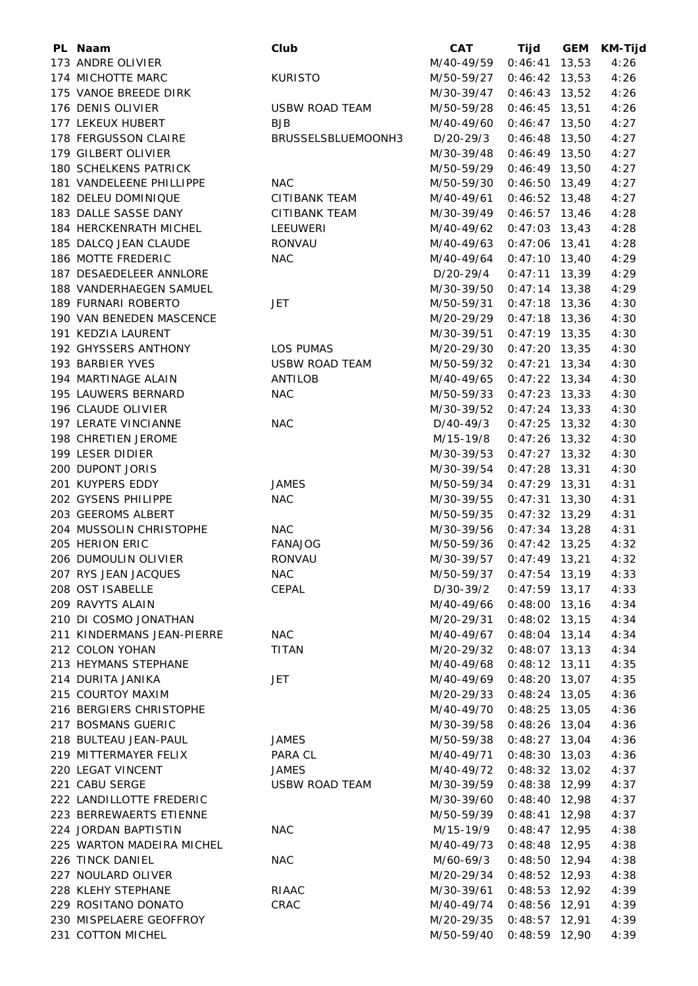| PL Naam                      | Club                  | <b>CAT</b> | Tijd            | <b>GEM</b> | <b>KM-Tijd</b> |
|------------------------------|-----------------------|------------|-----------------|------------|----------------|
| 173 ANDRE OLIVIER            |                       | M/40-49/59 | $0:46:41$ 13,53 |            | 4:26           |
| 174 MICHOTTE MARC            | <b>KURISTO</b>        | M/50-59/27 | $0:46:42$ 13,53 |            | 4:26           |
| 175 VANOE BREEDE DIRK        |                       | M/30-39/47 | $0:46:43$ 13,52 |            | 4:26           |
| 176 DENIS OLIVIER            | USBW ROAD TEAM        | M/50-59/28 | $0:46:45$ 13,51 |            | 4:26           |
| 177 LEKEUX HUBERT            | <b>BJB</b>            | M/40-49/60 | $0:46:47$ 13,50 |            | 4:27           |
| 178 FERGUSSON CLAIRE         | BRUSSELSBLUEMOONH3    | D/20-29/3  | $0:46:48$ 13,50 |            | 4:27           |
| 179 GILBERT OLIVIER          |                       | M/30-39/48 | $0:46:49$ 13,50 |            | 4:27           |
| <b>180 SCHELKENS PATRICK</b> |                       | M/50-59/29 | $0:46:49$ 13,50 |            | 4:27           |
| 181 VANDELEENE PHILLIPPE     | <b>NAC</b>            | M/50-59/30 | $0:46:50$ 13,49 |            | 4:27           |
| 182 DELEU DOMINIQUE          | CITIBANK TEAM         | M/40-49/61 | $0:46:52$ 13,48 |            | 4:27           |
| 183 DALLE SASSE DANY         | <b>CITIBANK TEAM</b>  | M/30-39/49 | $0:46:57$ 13,46 |            | 4:28           |
| 184 HERCKENRATH MICHEL       | LEEUWERI              | M/40-49/62 | $0:47:03$ 13,43 |            | 4:28           |
| 185 DALCQ JEAN CLAUDE        | <b>RONVAU</b>         | M/40-49/63 | $0:47:06$ 13,41 |            | 4:28           |
| 186 MOTTE FREDERIC           | <b>NAC</b>            | M/40-49/64 | $0:47:10$ 13,40 |            | 4:29           |
| 187 DESAEDELEER ANNLORE      |                       | D/20-29/4  | $0:47:11$ 13,39 |            | 4:29           |
| 188 VANDERHAEGEN SAMUEL      |                       | M/30-39/50 | $0:47:14$ 13,38 |            | 4:29           |
| 189 FURNARI ROBERTO          | <b>JET</b>            | M/50-59/31 | $0:47:18$ 13,36 |            | 4:30           |
| 190 VAN BENEDEN MASCENCE     |                       | M/20-29/29 | $0:47:18$ 13,36 |            | 4:30           |
| 191 KEDZIA LAURENT           |                       |            | $0:47:19$ 13,35 |            | 4:30           |
|                              |                       | M/30-39/51 |                 |            |                |
| 192 GHYSSERS ANTHONY         | <b>LOS PUMAS</b>      | M/20-29/30 | $0:47:20$ 13,35 |            | 4:30           |
| 193 BARBIER YVES             | <b>USBW ROAD TEAM</b> | M/50-59/32 | $0:47:21$ 13,34 |            | 4:30           |
| 194 MARTINAGE ALAIN          | ANTILOB               | M/40-49/65 | $0:47:22$ 13,34 |            | 4:30           |
| 195 LAUWERS BERNARD          | <b>NAC</b>            | M/50-59/33 | $0:47:23$ 13,33 |            | 4:30           |
| 196 CLAUDE OLIVIER           |                       | M/30-39/52 | $0:47:24$ 13,33 |            | 4:30           |
| 197 LERATE VINCIANNE         | <b>NAC</b>            | D/40-49/3  | $0:47:25$ 13,32 |            | 4:30           |
| 198 CHRETIEN JEROME          |                       | M/15-19/8  | $0:47:26$ 13,32 |            | 4:30           |
| 199 LESER DIDIER             |                       | M/30-39/53 | $0:47:27$ 13,32 |            | 4:30           |
| 200 DUPONT JORIS             |                       | M/30-39/54 | $0:47:28$ 13,31 |            | 4:30           |
| 201 KUYPERS EDDY             | <b>JAMES</b>          | M/50-59/34 | $0:47:29$ 13,31 |            | 4:31           |
| 202 GYSENS PHILIPPE          | <b>NAC</b>            | M/30-39/55 | $0:47:31$ 13,30 |            | 4:31           |
| 203 GEEROMS ALBERT           |                       | M/50-59/35 | $0:47:32$ 13,29 |            | 4:31           |
| 204 MUSSOLIN CHRISTOPHE      | <b>NAC</b>            | M/30-39/56 | $0:47:34$ 13,28 |            | 4:31           |
| 205 HERION ERIC              | <b>FANAJOG</b>        | M/50-59/36 | $0:47:42$ 13,25 |            | 4:32           |
| 206 DUMOULIN OLIVIER         | <b>RONVAU</b>         | M/30-39/57 | $0:47:49$ 13,21 |            | 4:32           |
| 207 RYS JEAN JACQUES         | <b>NAC</b>            | M/50-59/37 | $0:47:54$ 13,19 |            | 4:33           |
| 208 OST ISABELLE             | CEPAL                 | D/30-39/2  | $0:47:59$ 13,17 |            | 4:33           |
| 209 RAVYTS ALAIN             |                       | M/40-49/66 | $0:48:00$ 13,16 |            | 4:34           |
| 210 DI COSMO JONATHAN        |                       | M/20-29/31 | $0:48:02$ 13,15 |            | 4:34           |
| 211 KINDERMANS JEAN-PIERRE   | <b>NAC</b>            | M/40-49/67 | $0:48:04$ 13,14 |            | 4:34           |
| 212 COLON YOHAN              | TITAN                 | M/20-29/32 | $0:48:07$ 13,13 |            | 4:34           |
| 213 HEYMANS STEPHANE         |                       | M/40-49/68 | $0:48:12$ 13,11 |            | 4:35           |
| 214 DURITA JANIKA            | JET                   | M/40-49/69 | $0:48:20$ 13,07 |            | 4:35           |
| 215 COURTOY MAXIM            |                       | M/20-29/33 | $0:48:24$ 13,05 |            | 4:36           |
| 216 BERGIERS CHRISTOPHE      |                       | M/40-49/70 | $0:48:25$ 13,05 |            | 4:36           |
| 217 BOSMANS GUERIC           |                       | M/30-39/58 | $0:48:26$ 13,04 |            | 4:36           |
| 218 BULTEAU JEAN-PAUL        | JAMES                 | M/50-59/38 | $0:48:27$ 13,04 |            | 4:36           |
| 219 MITTERMAYER FELIX        | PARA CL               | M/40-49/71 | $0:48:30$ 13,03 |            | 4:36           |
| 220 LEGAT VINCENT            | <b>JAMES</b>          | M/40-49/72 | $0:48:32$ 13,02 |            | 4:37           |
| 221 CABU SERGE               | <b>USBW ROAD TEAM</b> | M/30-39/59 | $0:48:38$ 12,99 |            | 4:37           |
| 222 LANDILLOTTE FREDERIC     |                       | M/30-39/60 | $0:48:40$ 12,98 |            | 4:37           |
| 223 BERREWAERTS ETIENNE      |                       | M/50-59/39 | $0:48:41$ 12,98 |            | 4:37           |
| 224 JORDAN BAPTISTIN         | <b>NAC</b>            | M/15-19/9  | $0:48:47$ 12,95 |            | 4:38           |
| 225 WARTON MADEIRA MICHEL    |                       | M/40-49/73 | $0:48:48$ 12,95 |            | 4:38           |
| 226 TINCK DANIEL             | <b>NAC</b>            | M/60-69/3  | $0:48:50$ 12,94 |            | 4:38           |
| 227 NOULARD OLIVER           |                       | M/20-29/34 | $0:48:52$ 12,93 |            | 4:38           |
| 228 KLEHY STEPHANE           | RIAAC                 | M/30-39/61 | $0:48:53$ 12,92 |            | 4:39           |
| 229 ROSITANO DONATO          | CRAC                  |            |                 |            |                |
| 230 MISPELAERE GEOFFROY      |                       | M/40-49/74 | $0:48:56$ 12,91 |            | 4:39           |
|                              |                       | M/20-29/35 | $0:48:57$ 12,91 |            | 4:39           |
| 231 COTTON MICHEL            |                       | M/50-59/40 | $0:48:59$ 12,90 |            | 4:39           |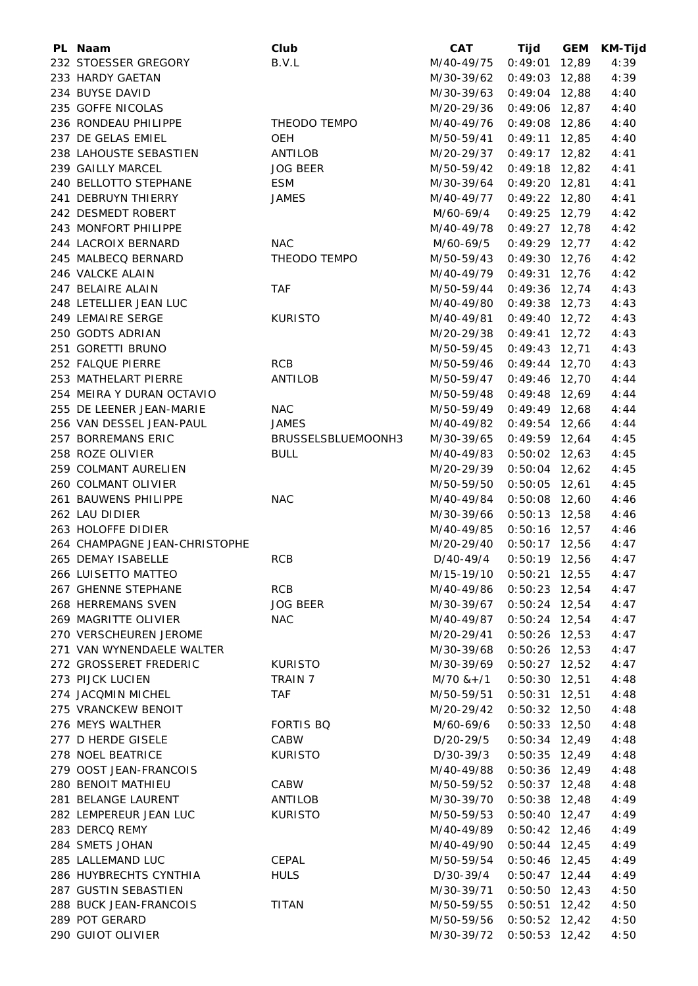| PL Naam                                             | Club               | <b>CAT</b>               | Tijd                               | <b>GEM</b> | <b>KM-Tijd</b> |
|-----------------------------------------------------|--------------------|--------------------------|------------------------------------|------------|----------------|
| 232 STOESSER GREGORY                                | B.V.L              | M/40-49/75               | $0:49:01$ 12,89                    |            | 4:39           |
| 233 HARDY GAETAN                                    |                    | M/30-39/62               | $0:49:03$ 12,88                    |            | 4:39           |
| 234 BUYSE DAVID                                     |                    | M/30-39/63               | $0:49:04$ 12,88                    |            | 4:40           |
| 235 GOFFE NICOLAS                                   |                    | M/20-29/36               | $0:49:06$ 12,87                    |            | 4:40           |
| 236 RONDEAU PHILIPPE                                | THEODO TEMPO       | M/40-49/76               | $0:49:08$ 12,86                    |            | 4:40           |
| 237 DE GELAS EMIEL                                  | OEH                | M/50-59/41               | $0:49:11$ 12,85                    |            | 4:40           |
| 238 LAHOUSTE SEBASTIEN                              | ANTILOB            | M/20-29/37               | $0:49:17$ 12,82                    |            | 4:41           |
| 239 GAILLY MARCEL                                   | <b>JOG BEER</b>    | M/50-59/42               | $0:49:18$ 12,82                    |            | 4:41           |
| 240 BELLOTTO STEPHANE                               | <b>ESM</b>         | M/30-39/64               | $0:49:20$ 12,81                    |            | 4:41           |
| 241 DEBRUYN THIERRY                                 | <b>JAMES</b>       | M/40-49/77               | $0:49:22$ 12,80                    |            | 4:41           |
| 242 DESMEDT ROBERT                                  |                    | M/60-69/4                | $0:49:25$ 12,79                    |            | 4:42           |
| 243 MONFORT PHILIPPE                                |                    | M/40-49/78               | $0:49:27$ 12,78                    |            | 4:42           |
| 244 LACROIX BERNARD                                 | <b>NAC</b>         | M/60-69/5                | $0:49:29$ 12,77                    |            | 4:42           |
| 245 MALBECQ BERNARD                                 | THEODO TEMPO       | M/50-59/43               | $0:49:30$ 12,76                    |            | 4:42           |
| 246 VALCKE ALAIN                                    |                    | M/40-49/79               | $0:49:31$ 12,76                    |            | 4:42           |
| 247 BELAIRE ALAIN                                   | <b>TAF</b>         | M/50-59/44               | $0:49:36$ 12,74                    |            | 4:43           |
| 248 LETELLIER JEAN LUC                              |                    | M/40-49/80               | $0:49:38$ 12,73                    |            | 4:43           |
| 249 LEMAIRE SERGE                                   | <b>KURISTO</b>     | M/40-49/81               | $0:49:40$ 12,72                    |            | 4:43           |
| 250 GODTS ADRIAN                                    |                    | M/20-29/38               | $0:49:41$ 12,72                    |            | 4:43           |
| 251 GORETTI BRUNO                                   |                    | M/50-59/45               | $0:49:43$ 12,71                    |            | 4:43           |
| 252 FALQUE PIERRE                                   | <b>RCB</b>         | M/50-59/46               | $0:49:44$ 12,70                    |            | 4:43           |
| 253 MATHELART PIERRE                                | <b>ANTILOB</b>     | M/50-59/47               | $0:49:46$ 12,70                    |            | 4:44           |
| 254 MEIRA Y DURAN OCTAVIO                           |                    | M/50-59/48               | $0:49:48$ 12,69                    |            | 4:44           |
| 255 DE LEENER JEAN-MARIE                            | <b>NAC</b>         | M/50-59/49               | $0:49:49$ 12,68                    |            | 4:44           |
| 256 VAN DESSEL JEAN-PAUL                            | <b>JAMES</b>       | M/40-49/82               | $0:49:54$ 12,66                    |            | 4:44           |
| 257 BORREMANS ERIC                                  | BRUSSELSBLUEMOONH3 | M/30-39/65               | $0:49:59$ 12,64                    |            | 4:45           |
| 258 ROZE OLIVIER                                    | <b>BULL</b>        | M/40-49/83               | $0:50:02$ 12,63                    |            | 4:45           |
| 259 COLMANT AURELIEN                                |                    | M/20-29/39               | $0:50:04$ 12,62                    |            | 4:45           |
| 260 COLMANT OLIVIER                                 |                    | M/50-59/50               | $0:50:05$ 12,61                    |            | 4:45           |
| 261 BAUWENS PHILIPPE                                | <b>NAC</b>         | M/40-49/84               | $0:50:08$ 12,60                    |            | 4:46           |
| 262 LAU DIDIER<br>263 HOLOFFE DIDIER                |                    | M/30-39/66               | $0:50:13$ 12,58                    |            | 4:46           |
|                                                     |                    | M/40-49/85<br>M/20-29/40 | $0:50:16$ 12,57                    |            | 4:46           |
| 264 CHAMPAGNE JEAN-CHRISTOPHE<br>265 DEMAY ISABELLE | <b>RCB</b>         | D/40-49/4                | $0:50:17$ 12,56                    |            | 4:47<br>4:47   |
| 266 LUISETTO MATTEO                                 |                    | M/15-19/10               | $0:50:19$ 12,56<br>$0:50:21$ 12,55 |            | 4:47           |
| 267 GHENNE STEPHANE                                 | <b>RCB</b>         | M/40-49/86               | $0:50:23$ 12,54                    |            | 4:47           |
| 268 HERREMANS SVEN                                  | <b>JOG BEER</b>    | M/30-39/67               | $0:50:24$ 12,54                    |            | 4:47           |
| 269 MAGRITTE OLIVIER                                | <b>NAC</b>         | M/40-49/87               | $0:50:24$ 12,54                    |            | 4:47           |
| 270 VERSCHEUREN JEROME                              |                    | M/20-29/41               | $0:50:26$ 12,53                    |            | 4:47           |
| 271 VAN WYNENDAELE WALTER                           |                    | M/30-39/68               | $0:50:26$ 12,53                    |            | 4:47           |
| 272 GROSSERET FREDERIC                              | <b>KURISTO</b>     | M/30-39/69               | $0:50:27$ 12,52                    |            | 4:47           |
| 273 PIJCK LUCIEN                                    | TRAIN 7            | $M/70$ & + $/1$          | $0:50:30$ 12,51                    |            | 4:48           |
| 274 JACQMIN MICHEL                                  | <b>TAF</b>         | M/50-59/51               | $0:50:31$ 12,51                    |            | 4:48           |
| 275 VRANCKEW BENOIT                                 |                    | M/20-29/42               | $0:50:32$ 12,50                    |            | 4:48           |
| 276 MEYS WALTHER                                    | <b>FORTIS BQ</b>   | M/60-69/6                | $0:50:33$ 12,50                    |            | 4:48           |
| 277 D HERDE GISELE                                  | CABW               | D/20-29/5                | $0:50:34$ 12,49                    |            | 4:48           |
| 278 NOEL BEATRICE                                   | <b>KURISTO</b>     | D/30-39/3                | $0:50:35$ 12,49                    |            | 4:48           |
| 279 OOST JEAN-FRANCOIS                              |                    | M/40-49/88               | $0:50:36$ 12,49                    |            | 4:48           |
| 280 BENOIT MATHIEU                                  | CABW               | M/50-59/52               | $0:50:37$ 12,48                    |            | 4:48           |
| 281 BELANGE LAURENT                                 | ANTILOB            | M/30-39/70               | $0:50:38$ 12,48                    |            | 4:49           |
| 282 LEMPEREUR JEAN LUC                              | <b>KURISTO</b>     | M/50-59/53               | $0:50:40$ 12,47                    |            | 4:49           |
| 283 DERCQ REMY                                      |                    | M/40-49/89               | $0:50:42$ 12,46                    |            | 4:49           |
| 284 SMETS JOHAN                                     |                    | M/40-49/90               | $0:50:44$ 12,45                    |            | 4:49           |
| 285 LALLEMAND LUC                                   | CEPAL              | M/50-59/54               | $0:50:46$ 12,45                    |            | 4:49           |
| 286 HUYBRECHTS CYNTHIA                              | <b>HULS</b>        | D/30-39/4                | $0:50:47$ 12,44                    |            | 4:49           |
| 287 GUSTIN SEBASTIEN                                |                    | M/30-39/71               | $0:50:50$ 12,43                    |            | 4:50           |
| 288 BUCK JEAN-FRANCOIS                              | <b>TITAN</b>       | M/50-59/55               | $0:50:51$ 12,42                    |            | 4:50           |
| 289 POT GERARD                                      |                    | M/50-59/56               | $0:50:52$ 12,42                    |            | 4:50           |
| 290 GUIOT OLIVIER                                   |                    | M/30-39/72               | $0:50:53$ 12,42                    |            | 4:50           |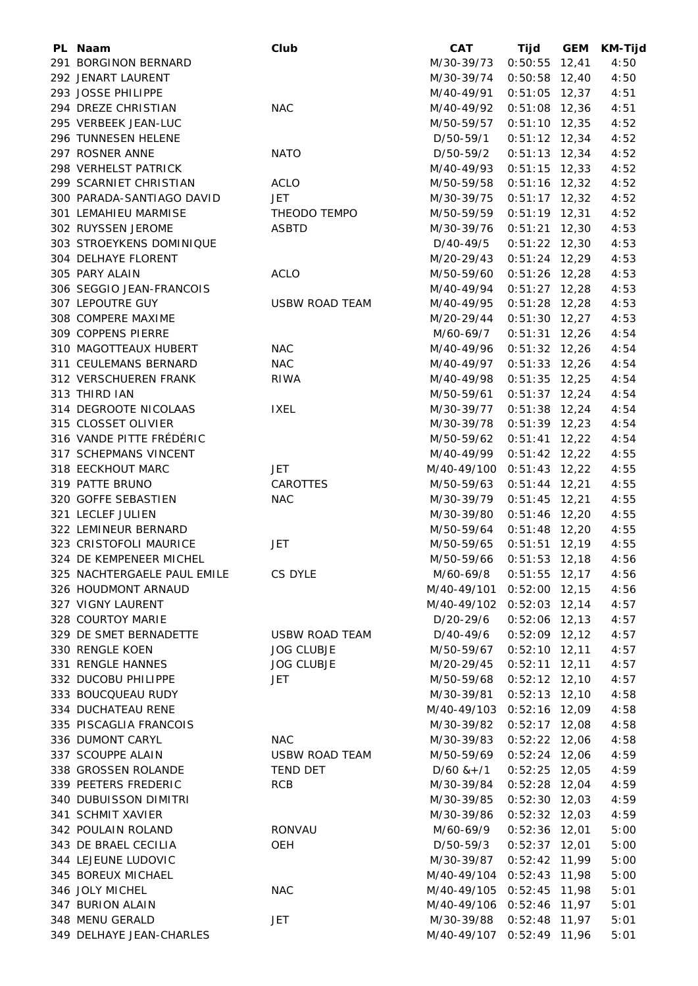| PL Naam                     | Club                  | <b>CAT</b>                | Tijd            | GEM | KM-Tijd |
|-----------------------------|-----------------------|---------------------------|-----------------|-----|---------|
| 291 BORGINON BERNARD        |                       | M/30-39/73                | $0:50:55$ 12,41 |     | 4:50    |
| 292 JENART LAURENT          |                       | M/30-39/74                | $0:50:58$ 12,40 |     | 4:50    |
| 293 JOSSE PHILIPPE          |                       | M/40-49/91                | $0:51:05$ 12,37 |     | 4:51    |
| 294 DREZE CHRISTIAN         | <b>NAC</b>            | M/40-49/92                | $0:51:08$ 12,36 |     | 4:51    |
| 295 VERBEEK JEAN-LUC        |                       | M/50-59/57                | $0:51:10$ 12,35 |     | 4:52    |
| 296 TUNNESEN HELENE         |                       | D/50-59/1                 | $0:51:12$ 12,34 |     | 4:52    |
| 297 ROSNER ANNE             | <b>NATO</b>           | D/50-59/2                 | $0:51:13$ 12,34 |     | 4:52    |
| 298 VERHELST PATRICK        |                       | M/40-49/93                | $0:51:15$ 12,33 |     | 4:52    |
| 299 SCARNIET CHRISTIAN      | <b>ACLO</b>           | M/50-59/58                | $0:51:16$ 12,32 |     | 4:52    |
| 300 PARADA-SANTIAGO DAVID   | JET                   | M/30-39/75                | $0:51:17$ 12,32 |     | 4:52    |
| 301 LEMAHIEU MARMISE        | THEODO TEMPO          | M/50-59/59                | $0:51:19$ 12,31 |     | 4:52    |
| 302 RUYSSEN JEROME          | <b>ASBTD</b>          | M/30-39/76                | $0:51:21$ 12,30 |     | 4:53    |
| 303 STROEYKENS DOMINIQUE    |                       | D/40-49/5                 | $0:51:22$ 12,30 |     | 4:53    |
| 304 DELHAYE FLORENT         |                       | M/20-29/43                | $0:51:24$ 12,29 |     | 4:53    |
| 305 PARY ALAIN              | <b>ACLO</b>           | M/50-59/60                | $0:51:26$ 12,28 |     | 4:53    |
| 306 SEGGIO JEAN-FRANCOIS    |                       | M/40-49/94                | $0:51:27$ 12,28 |     | 4:53    |
| 307 LEPOUTRE GUY            | <b>USBW ROAD TEAM</b> | M/40-49/95                | $0:51:28$ 12,28 |     | 4:53    |
| 308 COMPERE MAXIME          |                       | M/20-29/44                | $0:51:30$ 12,27 |     | 4:53    |
| 309 COPPENS PIERRE          |                       | M/60-69/7                 | $0:51:31$ 12,26 |     | 4:54    |
| 310 MAGOTTEAUX HUBERT       | <b>NAC</b>            | M/40-49/96                | $0:51:32$ 12,26 |     | 4:54    |
| 311 CEULEMANS BERNARD       | <b>NAC</b>            | M/40-49/97                | $0:51:33$ 12,26 |     | 4:54    |
| 312 VERSCHUEREN FRANK       | <b>RIWA</b>           | M/40-49/98                | $0:51:35$ 12,25 |     | 4:54    |
| 313 THIRD IAN               |                       | M/50-59/61                | $0:51:37$ 12,24 |     | 4:54    |
| 314 DEGROOTE NICOLAAS       | <b>IXEL</b>           | M/30-39/77                | $0:51:38$ 12,24 |     | 4:54    |
| 315 CLOSSET OLIVIER         |                       | M/30-39/78                | $0:51:39$ 12,23 |     | 4:54    |
| 316 VANDE PITTE FRÉDÉRIC    |                       |                           | $0:51:41$ 12,22 |     | 4:54    |
|                             |                       | M/50-59/62                |                 |     |         |
| 317 SCHEPMANS VINCENT       |                       | M/40-49/99                | $0:51:42$ 12,22 |     | 4:55    |
| 318 EECKHOUT MARC           | JET.                  | M/40-49/100 0:51:43 12,22 |                 |     | 4:55    |
| 319 PATTE BRUNO             | CAROTTES              | M/50-59/63                | $0:51:44$ 12,21 |     | 4:55    |
| 320 GOFFE SEBASTIEN         | <b>NAC</b>            | M/30-39/79                | $0:51:45$ 12,21 |     | 4:55    |
| 321 LECLEF JULIEN           |                       | M/30-39/80                | $0:51:46$ 12,20 |     | 4:55    |
| 322 LEMINEUR BERNARD        |                       | M/50-59/64                | $0:51:48$ 12,20 |     | 4:55    |
| 323 CRISTOFOLI MAURICE      | JET                   | M/50-59/65                | $0:51:51$ 12,19 |     | 4:55    |
| 324 DE KEMPENEER MICHEL     |                       | M/50-59/66                | $0:51:53$ 12,18 |     | 4:56    |
| 325 NACHTERGAELE PAUL EMILE | CS DYLE               | M/60-69/8                 | $0:51:55$ 12,17 |     | 4:56    |
| 326 HOUDMONT ARNAUD         |                       | M/40-49/101               | $0:52:00$ 12,15 |     | 4:56    |
| 327 VIGNY LAURENT           |                       | M/40-49/102 0:52:03 12,14 |                 |     | 4:57    |
| 328 COURTOY MARIE           |                       | D/20-29/6                 | $0:52:06$ 12,13 |     | 4:57    |
| 329 DE SMET BERNADETTE      | <b>USBW ROAD TEAM</b> | D/40-49/6                 | $0:52:09$ 12,12 |     | 4:57    |
| 330 RENGLE KOEN             | <b>JOG CLUBJE</b>     | M/50-59/67                | $0:52:10$ 12,11 |     | 4:57    |
| 331 RENGLE HANNES           | <b>JOG CLUBJE</b>     | M/20-29/45                | $0:52:11$ 12,11 |     | 4:57    |
| 332 DUCOBU PHILIPPE         | JET.                  | M/50-59/68                | $0:52:12$ 12,10 |     | 4:57    |
| 333 BOUCQUEAU RUDY          |                       | M/30-39/81                | $0:52:13$ 12,10 |     | 4:58    |
| 334 DUCHATEAU RENE          |                       | M/40-49/103               | $0:52:16$ 12,09 |     | 4:58    |
| 335 PISCAGLIA FRANCOIS      |                       | M/30-39/82                | $0:52:17$ 12,08 |     | 4:58    |
| 336 DUMONT CARYL            | <b>NAC</b>            | M/30-39/83                | $0:52:22$ 12,06 |     | 4:58    |
| 337 SCOUPPE ALAIN           | <b>USBW ROAD TEAM</b> | M/50-59/69                | $0:52:24$ 12,06 |     | 4:59    |
| 338 GROSSEN ROLANDE         | <b>TEND DET</b>       | $D/60$ & +/1              | $0:52:25$ 12,05 |     | 4:59    |
| 339 PEETERS FREDERIC        | RCB                   | M/30-39/84                | $0:52:28$ 12,04 |     | 4:59    |
| 340 DUBUISSON DIMITRI       |                       | M/30-39/85                | $0:52:30$ 12,03 |     | 4:59    |
| 341 SCHMIT XAVIER           |                       | M/30-39/86                | $0:52:32$ 12,03 |     | 4:59    |
| 342 POULAIN ROLAND          | <b>RONVAU</b>         | M/60-69/9                 | $0:52:36$ 12,01 |     | 5:00    |
| 343 DE BRAEL CECILIA        | <b>OEH</b>            | D/50-59/3                 | $0:52:37$ 12,01 |     | 5:00    |
| 344 LEJEUNE LUDOVIC         |                       | M/30-39/87                | $0:52:42$ 11,99 |     | 5:00    |
| 345 BOREUX MICHAEL          |                       | M/40-49/104 0:52:43 11,98 |                 |     | 5:00    |
| 346 JOLY MICHEL             | <b>NAC</b>            | M/40-49/105 0:52:45 11,98 |                 |     | 5:01    |
| 347 BURION ALAIN            |                       | M/40-49/106 0:52:46 11,97 |                 |     | 5:01    |
| 348 MENU GERALD             | JET                   | M/30-39/88                | $0:52:48$ 11,97 |     | 5:01    |
| 349 DELHAYE JEAN-CHARLES    |                       | M/40-49/107 0:52:49 11,96 |                 |     | 5:01    |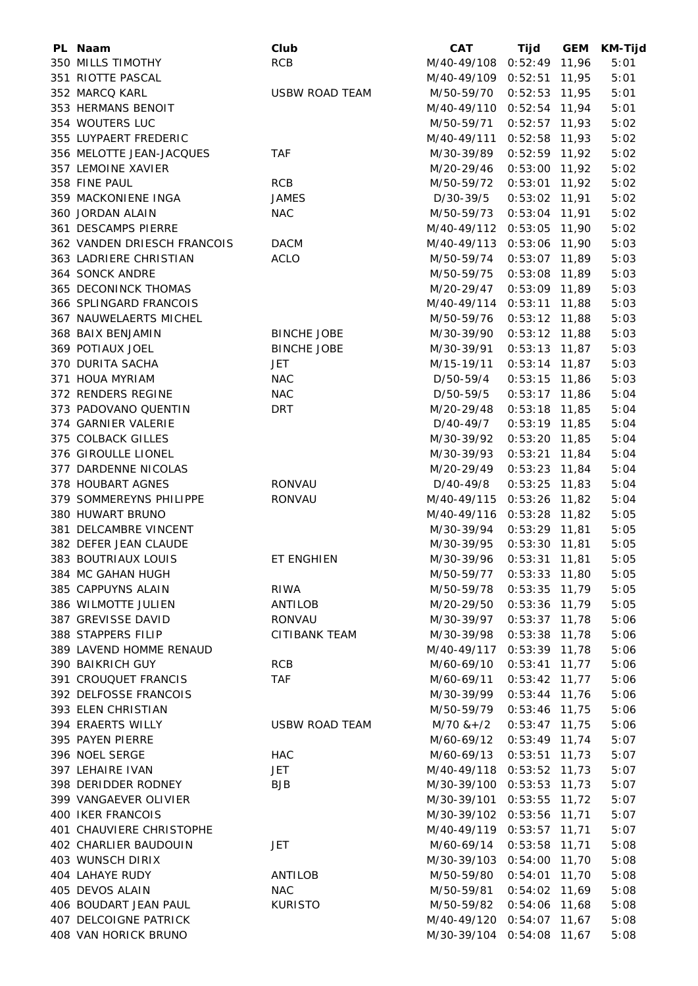| PL Naam                     | Club                  | <b>CAT</b>                | Tijd            | <b>GEM</b> | <b>KM-Tijd</b> |
|-----------------------------|-----------------------|---------------------------|-----------------|------------|----------------|
| 350 MILLS TIMOTHY           | <b>RCB</b>            | M/40-49/108 0:52:49 11,96 |                 |            | 5:01           |
| 351 RIOTTE PASCAL           |                       | M/40-49/109 0:52:51 11,95 |                 |            | 5:01           |
| 352 MARCQ KARL              | <b>USBW ROAD TEAM</b> | M/50-59/70                | $0:52:53$ 11,95 |            | 5:01           |
| 353 HERMANS BENOIT          |                       | M/40-49/110 0:52:54 11,94 |                 |            | 5:01           |
| 354 WOUTERS LUC             |                       | M/50-59/71                | $0:52:57$ 11,93 |            | 5:02           |
| 355 LUYPAERT FREDERIC       |                       | M/40-49/111 0:52:58 11,93 |                 |            | 5:02           |
| 356 MELOTTE JEAN-JACQUES    | <b>TAF</b>            | M/30-39/89                | $0:52:59$ 11,92 |            | 5:02           |
| 357 LEMOINE XAVIER          |                       | M/20-29/46                | $0:53:00$ 11,92 |            | 5:02           |
| 358 FINE PAUL               | <b>RCB</b>            | M/50-59/72                | $0:53:01$ 11,92 |            | 5:02           |
| 359 MACKONIENE INGA         | <b>JAMES</b>          | D/30-39/5                 | $0:53:02$ 11,91 |            | 5:02           |
| 360 JORDAN ALAIN            | <b>NAC</b>            | M/50-59/73                | $0:53:04$ 11,91 |            | 5:02           |
| 361 DESCAMPS PIERRE         |                       | M/40-49/112 0:53:05 11,90 |                 |            | 5:02           |
| 362 VANDEN DRIESCH FRANCOIS | <b>DACM</b>           | M/40-49/113 0:53:06 11,90 |                 |            | 5:03           |
| 363 LADRIERE CHRISTIAN      | <b>ACLO</b>           | M/50-59/74                | $0:53:07$ 11,89 |            | 5:03           |
| <b>364 SONCK ANDRE</b>      |                       | M/50-59/75                | $0:53:08$ 11,89 |            | 5:03           |
| 365 DECONINCK THOMAS        |                       | M/20-29/47                | $0:53:09$ 11,89 |            | 5:03           |
| 366 SPLINGARD FRANCOIS      |                       | M/40-49/114 0:53:11 11,88 |                 |            | 5:03           |
| 367 NAUWELAERTS MICHEL      |                       | M/50-59/76                | $0:53:12$ 11,88 |            | 5:03           |
| 368 BAIX BENJAMIN           | <b>BINCHE JOBE</b>    | M/30-39/90                | $0:53:12$ 11,88 |            | 5:03           |
| 369 POTIAUX JOEL            | <b>BINCHE JOBE</b>    |                           | $0:53:13$ 11,87 |            | 5:03           |
|                             |                       | M/30-39/91                |                 |            |                |
| 370 DURITA SACHA            | <b>JET</b>            | M/15-19/11                | $0:53:14$ 11,87 |            | 5:03           |
| 371 HOUA MYRIAM             | <b>NAC</b>            | D/50-59/4                 | $0:53:15$ 11,86 |            | 5:03           |
| 372 RENDERS REGINE          | <b>NAC</b>            | D/50-59/5                 | $0:53:17$ 11,86 |            | 5:04           |
| 373 PADOVANO QUENTIN        | <b>DRT</b>            | M/20-29/48                | $0:53:18$ 11,85 |            | 5:04           |
| 374 GARNIER VALERIE         |                       | D/40-49/7                 | $0:53:19$ 11,85 |            | 5:04           |
| 375 COLBACK GILLES          |                       | M/30-39/92                | $0:53:20$ 11,85 |            | 5:04           |
| 376 GIROULLE LIONEL         |                       | M/30-39/93                | $0:53:21$ 11,84 |            | 5:04           |
| 377 DARDENNE NICOLAS        |                       | M/20-29/49                | $0:53:23$ 11,84 |            | 5:04           |
| 378 HOUBART AGNES           | RONVAU                | D/40-49/8                 | $0:53:25$ 11,83 |            | 5:04           |
| 379 SOMMEREYNS PHILIPPE     | RONVAU                | M/40-49/115 0:53:26 11,82 |                 |            | 5:04           |
| 380 HUWART BRUNO            |                       | M/40-49/116 0:53:28 11,82 |                 |            | 5:05           |
| 381 DELCAMBRE VINCENT       |                       | M/30-39/94                | $0:53:29$ 11,81 |            | 5:05           |
| 382 DEFER JEAN CLAUDE       |                       | M/30-39/95                | $0:53:30$ 11,81 |            | 5:05           |
| 383 BOUTRIAUX LOUIS         | ET ENGHIEN            | M/30-39/96                | $0:53:31$ 11,81 |            | 5:05           |
| 384 MC GAHAN HUGH           |                       | M/50-59/77                | $0:53:33$ 11,80 |            | 5:05           |
| 385 CAPPUYNS ALAIN          | RIWA                  | M/50-59/78                | $0:53:35$ 11,79 |            | 5:05           |
| 386 WILMOTTE JULIEN         | ANTILOB               | M/20-29/50                | $0:53:36$ 11,79 |            | 5:05           |
| 387 GREVISSE DAVID          | RONVAU                | M/30-39/97                | $0:53:37$ 11,78 |            | 5:06           |
| 388 STAPPERS FILIP          | <b>CITIBANK TEAM</b>  | M/30-39/98                | $0:53:38$ 11,78 |            | 5:06           |
| 389 LAVEND HOMME RENAUD     |                       | M/40-49/117 0:53:39 11,78 |                 |            | 5:06           |
| 390 BAIKRICH GUY            | <b>RCB</b>            | M/60-69/10                | $0:53:41$ 11,77 |            | 5:06           |
| 391 CROUQUET FRANCIS        | TAF                   | M/60-69/11                | $0:53:42$ 11,77 |            | 5:06           |
| 392 DELFOSSE FRANCOIS       |                       | M/30-39/99                | $0:53:44$ 11,76 |            | 5:06           |
| 393 ELEN CHRISTIAN          |                       | M/50-59/79                | $0:53:46$ 11,75 |            | 5:06           |
| 394 ERAERTS WILLY           | <b>USBW ROAD TEAM</b> | $M/70$ & +/2              | $0:53:47$ 11,75 |            | 5:06           |
| 395 PAYEN PIERRE            |                       | M/60-69/12                | $0:53:49$ 11,74 |            | 5:07           |
| 396 NOEL SERGE              | <b>HAC</b>            | M/60-69/13                | $0:53:51$ 11,73 |            | 5:07           |
| 397 LEHAIRE IVAN            | JET                   | M/40-49/118 0:53:52 11,73 |                 |            | 5:07           |
| 398 DERIDDER RODNEY         | <b>BJB</b>            | M/30-39/100 0:53:53 11,73 |                 |            | 5:07           |
| 399 VANGAEVER OLIVIER       |                       | M/30-39/101 0:53:55 11,72 |                 |            | 5:07           |
| 400 IKER FRANCOIS           |                       | M/30-39/102 0:53:56 11,71 |                 |            | 5:07           |
| 401 CHAUVIERE CHRISTOPHE    |                       | M/40-49/119 0:53:57 11,71 |                 |            | 5:07           |
| 402 CHARLIER BAUDOUIN       | <b>JET</b>            | M/60-69/14                | $0:53:58$ 11,71 |            | 5:08           |
| 403 WUNSCH DIRIX            |                       | M/30-39/103 0:54:00 11,70 |                 |            | 5:08           |
| 404 LAHAYE RUDY             | ANTILOB               | M/50-59/80                | $0:54:01$ 11,70 |            | 5:08           |
| 405 DEVOS ALAIN             | <b>NAC</b>            | M/50-59/81                | $0:54:02$ 11,69 |            | 5:08           |
| 406 BOUDART JEAN PAUL       | <b>KURISTO</b>        | M/50-59/82                | $0:54:06$ 11,68 |            | 5:08           |
| 407 DELCOIGNE PATRICK       |                       | M/40-49/120 0:54:07 11,67 |                 |            | 5:08           |
| 408 VAN HORICK BRUNO        |                       | M/30-39/104 0:54:08 11,67 |                 |            | 5:08           |
|                             |                       |                           |                 |            |                |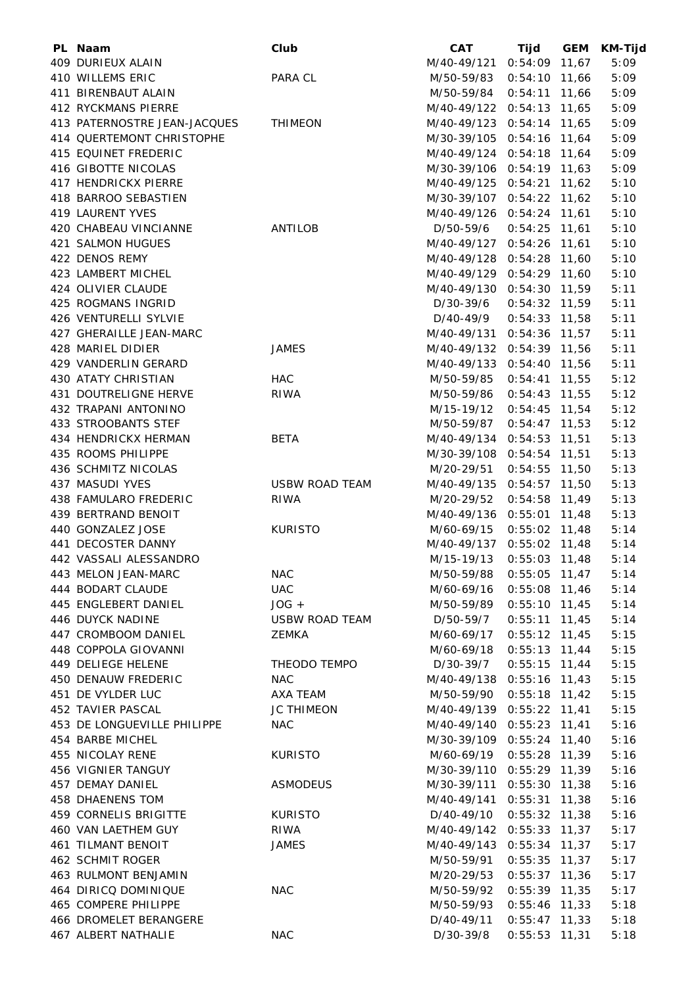| PL Naam                      | Club                  | <b>CAT</b>                 | Tijd            | <b>GEM</b> | KM-Tijd |
|------------------------------|-----------------------|----------------------------|-----------------|------------|---------|
| 409 DURIEUX ALAIN            |                       | M/40-49/121 0:54:09 11,67  |                 |            | 5:09    |
| 410 WILLEMS ERIC             | PARA CL               | M/50-59/83                 | $0:54:10$ 11,66 |            | 5:09    |
| 411 BIRENBAUT ALAIN          |                       | M/50-59/84 0:54:11 11,66   |                 |            | 5:09    |
| 412 RYCKMANS PIERRE          |                       | M/40-49/122 0:54:13 11,65  |                 |            | 5:09    |
| 413 PATERNOSTRE JEAN-JACQUES | <b>THIMEON</b>        | M/40-49/123 0:54:14 11,65  |                 |            | 5:09    |
| 414 QUERTEMONT CHRISTOPHE    |                       | M/30-39/105 0:54:16 11,64  |                 |            | 5:09    |
| 415 EQUINET FREDERIC         |                       | M/40-49/124 0:54:18 11,64  |                 |            | 5:09    |
| 416 GIBOTTE NICOLAS          |                       | M/30-39/106 0:54:19 11,63  |                 |            | 5:09    |
| 417 HENDRICKX PIERRE         |                       | M/40-49/125 0:54:21 11,62  |                 |            | 5:10    |
| 418 BARROO SEBASTIEN         |                       | M/30-39/107 0:54:22 11,62  |                 |            | 5:10    |
| 419 LAURENT YVES             |                       | M/40-49/126 0:54:24 11,61  |                 |            | 5:10    |
| 420 CHABEAU VINCIANNE        | ANTILOB               | D/50-59/6                  | $0:54:25$ 11,61 |            | 5:10    |
| 421 SALMON HUGUES            |                       | M/40-49/127 0:54:26 11,61  |                 |            | 5:10    |
| 422 DENOS REMY               |                       | M/40-49/128 0:54:28 11,60  |                 |            | 5:10    |
| 423 LAMBERT MICHEL           |                       | M/40-49/129 0:54:29 11,60  |                 |            | 5:10    |
|                              |                       | M/40-49/130 0:54:30 11,59  |                 |            |         |
| 424 OLIVIER CLAUDE           |                       |                            |                 |            | 5:11    |
| 425 ROGMANS INGRID           |                       | D/30-39/6                  | $0:54:32$ 11,59 |            | 5:11    |
| 426 VENTURELLI SYLVIE        |                       | D/40-49/9                  | $0:54:33$ 11,58 |            | 5:11    |
| 427 GHERAILLE JEAN-MARC      |                       | M/40-49/131 0:54:36 11,57  |                 |            | 5:11    |
| 428 MARIEL DIDIER            | <b>JAMES</b>          | M/40-49/132 0:54:39 11,56  |                 |            | 5:11    |
| 429 VANDERLIN GERARD         |                       | M/40-49/133 0:54:40 11,56  |                 |            | 5:11    |
| 430 ATATY CHRISTIAN          | HAC                   | M/50-59/85                 | $0:54:41$ 11,55 |            | 5:12    |
| 431 DOUTRELIGNE HERVE        | RIWA                  | M/50-59/86                 | $0:54:43$ 11,55 |            | 5:12    |
| 432 TRAPANI ANTONINO         |                       | M/15-19/12                 | $0:54:45$ 11,54 |            | 5:12    |
| 433 STROOBANTS STEF          |                       | M/50-59/87                 | $0:54:47$ 11,53 |            | 5:12    |
| 434 HENDRICKX HERMAN         | <b>BETA</b>           | M/40-49/134 0:54:53 11,51  |                 |            | 5:13    |
| 435 ROOMS PHILIPPE           |                       | M/30-39/108 0:54:54 11,51  |                 |            | 5:13    |
| 436 SCHMITZ NICOLAS          |                       | M/20-29/51                 | $0:54:55$ 11,50 |            | 5:13    |
| 437 MASUDI YVES              | <b>USBW ROAD TEAM</b> | M/40-49/135 0:54:57 11,50  |                 |            | 5:13    |
| 438 FAMULARO FREDERIC        | RIWA                  | M/20-29/52                 | $0:54:58$ 11,49 |            | 5:13    |
| 439 BERTRAND BENOIT          |                       | M/40-49/136 0:55:01 11,48  |                 |            | 5:13    |
| 440 GONZALEZ JOSE            | <b>KURISTO</b>        | M/60-69/15 0:55:02 11,48   |                 |            | 5:14    |
| 441 DECOSTER DANNY           |                       | M/40-49/137 0:55:02 11,48  |                 |            | 5:14    |
| 442 VASSALI ALESSANDRO       |                       | M/15-19/13                 | $0:55:03$ 11,48 |            | 5:14    |
| 443 MELON JEAN-MARC          | <b>NAC</b>            | M/50-59/88                 | $0:55:05$ 11,47 |            | 5:14    |
| 444 BODART CLAUDE            | <b>UAC</b>            | M/60-69/16                 | $0:55:08$ 11,46 |            | 5:14    |
| 445 ENGLEBERT DANIEL         | $JOG +$               | M/50-59/89                 | $0:55:10$ 11,45 |            | 5:14    |
| 446 DUYCK NADINE             | <b>USBW ROAD TEAM</b> | D/50-59/7                  | $0:55:11$ 11,45 |            | 5:14    |
| 447 CROMBOOM DANIEL          | ZEMKA                 | M/60-69/17                 | $0:55:12$ 11,45 |            | 5:15    |
| 448 COPPOLA GIOVANNI         |                       | M/60-69/18  0:55:13  11,44 |                 |            | 5:15    |
| 449 DELIEGE HELENE           | THEODO TEMPO          | D/30-39/7                  | $0:55:15$ 11,44 |            | 5:15    |
| 450 DENAUW FREDERIC          | <b>NAC</b>            | M/40-49/138 0:55:16 11,43  |                 |            | 5:15    |
| 451 DE VYLDER LUC            | AXA TEAM              | M/50-59/90                 | $0:55:18$ 11,42 |            | 5:15    |
| 452 TAVIER PASCAL            | <b>JC THIMEON</b>     | M/40-49/139 0:55:22 11,41  |                 |            | 5:15    |
| 453 DE LONGUEVILLE PHILIPPE  | <b>NAC</b>            | M/40-49/140 0:55:23 11,41  |                 |            | 5:16    |
| 454 BARBE MICHEL             |                       | M/30-39/109 0:55:24 11,40  |                 |            | 5:16    |
|                              |                       |                            |                 |            |         |
| 455 NICOLAY RENE             | <b>KURISTO</b>        | M/60-69/19                 | $0:55:28$ 11,39 |            | 5:16    |
| 456 VIGNIER TANGUY           |                       | M/30-39/110 0:55:29 11,39  |                 |            | 5:16    |
| 457 DEMAY DANIEL             | ASMODEUS              | M/30-39/111 0:55:30 11,38  |                 |            | 5:16    |
| 458 DHAENENS TOM             |                       | M/40-49/141 0:55:31 11,38  |                 |            | 5:16    |
| 459 CORNELIS BRIGITTE        | <b>KURISTO</b>        | D/40-49/10                 | $0:55:32$ 11,38 |            | 5:16    |
| 460 VAN LAETHEM GUY          | RIWA                  | M/40-49/142 0:55:33 11,37  |                 |            | 5:17    |
| <b>461 TILMANT BENOIT</b>    | <b>JAMES</b>          | M/40-49/143 0:55:34 11,37  |                 |            | 5:17    |
| 462 SCHMIT ROGER             |                       | M/50-59/91                 | $0:55:35$ 11,37 |            | 5:17    |
| 463 RULMONT BENJAMIN         |                       | M/20-29/53                 | $0:55:37$ 11,36 |            | 5:17    |
| 464 DIRICQ DOMINIQUE         | <b>NAC</b>            | M/50-59/92                 | $0:55:39$ 11,35 |            | 5:17    |
| 465 COMPERE PHILIPPE         |                       | M/50-59/93                 | $0:55:46$ 11,33 |            | 5:18    |
| 466 DROMELET BERANGERE       |                       | D/40-49/11                 | $0:55:47$ 11,33 |            | 5:18    |
| 467 ALBERT NATHALIE          | <b>NAC</b>            | D/30-39/8                  | $0:55:53$ 11,31 |            | 5:18    |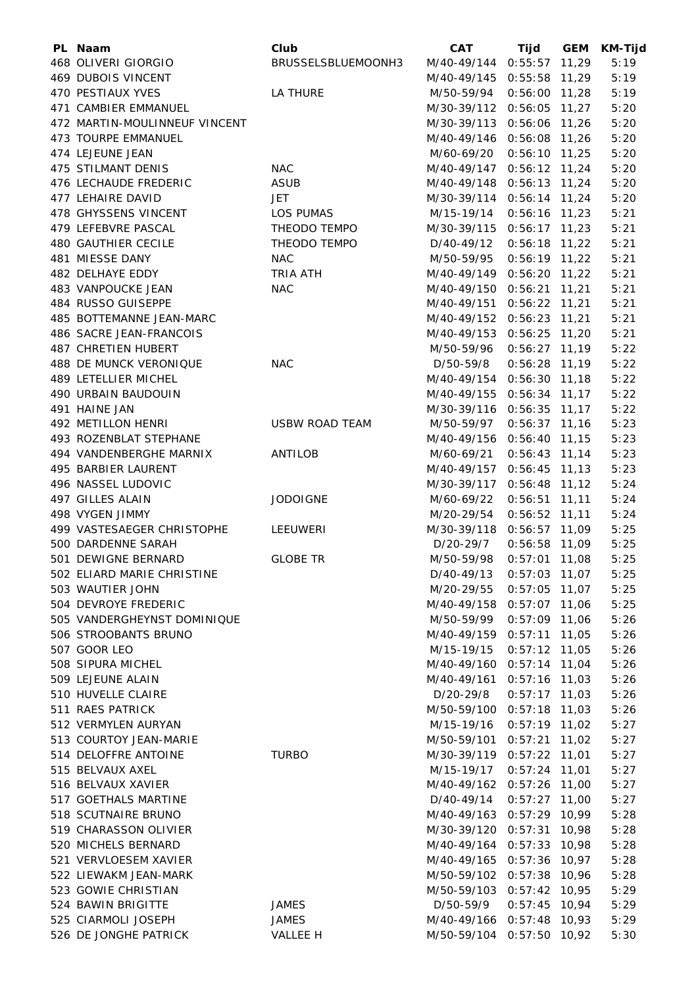| PL Naam                                        | Club                  | <b>CAT</b>                                             | Tijd            | <b>GEM</b> | <b>KM-Tijd</b> |
|------------------------------------------------|-----------------------|--------------------------------------------------------|-----------------|------------|----------------|
| 468 OLIVERI GIORGIO                            | BRUSSELSBLUEMOONH3    | M/40-49/144 0:55:57 11,29                              |                 |            | 5:19           |
| <b>469 DUBOIS VINCENT</b>                      |                       | M/40-49/145 0:55:58 11,29                              |                 |            | 5:19           |
| 470 PESTIAUX YVES                              | LA THURE              | M/50-59/94                                             | $0:56:00$ 11,28 |            | 5:19           |
| 471 CAMBIER EMMANUEL                           |                       | M/30-39/112 0:56:05 11,27                              |                 |            | 5:20           |
| 472 MARTIN-MOULINNEUF VINCENT                  |                       | M/30-39/113 0:56:06 11,26                              |                 |            | 5:20           |
| 473 TOURPE EMMANUEL                            |                       | M/40-49/146 0:56:08 11,26                              |                 |            | 5:20           |
| 474 LEJEUNE JEAN                               |                       | M/60-69/20                                             | $0:56:10$ 11,25 |            | 5:20           |
| 475 STILMANT DENIS                             | <b>NAC</b>            | M/40-49/147 0:56:12 11,24                              |                 |            | 5:20           |
| 476 LECHAUDE FREDERIC                          | <b>ASUB</b>           | M/40-49/148 0:56:13 11,24                              |                 |            | 5:20           |
| 477 LEHAIRE DAVID                              | <b>JET</b>            | M/30-39/114 0:56:14 11,24                              |                 |            | 5:20           |
| 478 GHYSSENS VINCENT                           | <b>LOS PUMAS</b>      | M/15-19/14                                             | $0:56:16$ 11,23 |            | 5:21           |
| 479 LEFEBVRE PASCAL                            | THEODO TEMPO          | M/30-39/115 0:56:17 11,23                              |                 |            | 5:21           |
| 480 GAUTHIER CECILE                            | THEODO TEMPO          | D/40-49/12                                             | $0:56:18$ 11,22 |            | 5:21           |
| 481 MIESSE DANY                                | <b>NAC</b>            | M/50-59/95                                             | $0:56:19$ 11,22 |            | 5:21           |
| 482 DELHAYE EDDY                               | <b>TRIA ATH</b>       | M/40-49/149 0:56:20 11,22                              |                 |            | 5:21           |
| 483 VANPOUCKE JEAN                             | <b>NAC</b>            | M/40-49/150 0:56:21 11,21                              |                 |            | 5:21           |
| 484 RUSSO GUISEPPE                             |                       | M/40-49/151 0:56:22 11,21                              |                 |            | 5:21           |
| 485 BOTTEMANNE JEAN-MARC                       |                       | M/40-49/152 0:56:23 11,21                              |                 |            | 5:21           |
| 486 SACRE JEAN-FRANCOIS                        |                       | M/40-49/153 0:56:25 11,20                              |                 |            | 5:21           |
| 487 CHRETIEN HUBERT                            |                       | M/50-59/96                                             | $0:56:27$ 11,19 |            | 5:22           |
| 488 DE MUNCK VERONIQUE                         | <b>NAC</b>            | D/50-59/8                                              | $0:56:28$ 11,19 |            | 5:22           |
| 489 LETELLIER MICHEL                           |                       | M/40-49/154 0:56:30 11,18                              |                 |            | 5:22           |
| 490 URBAIN BAUDOUIN                            |                       | M/40-49/155 0:56:34 11,17                              |                 |            | 5:22           |
| 491 HAINE JAN                                  |                       | M/30-39/116 0:56:35 11,17                              |                 |            | 5:22           |
| 492 METILLON HENRI                             | <b>USBW ROAD TEAM</b> | M/50-59/97                                             | $0:56:37$ 11,16 |            | 5:23           |
| 493 ROZENBLAT STEPHANE                         |                       | M/40-49/156 0:56:40 11,15                              |                 |            | 5:23           |
| 494 VANDENBERGHE MARNIX                        | ANTILOB               | M/60-69/21                                             | $0:56:43$ 11,14 |            | 5:23           |
| 495 BARBIER LAURENT                            |                       | M/40-49/157 0:56:45 11,13                              |                 |            | 5:23           |
| 496 NASSEL LUDOVIC                             |                       | M/30-39/117 0:56:48 11,12                              |                 |            | 5:24           |
| 497 GILLES ALAIN                               | <b>JODOIGNE</b>       | M/60-69/22                                             | $0:56:51$ 11,11 |            | 5:24           |
| 498 VYGEN JIMMY                                |                       | M/20-29/54                                             | $0:56:52$ 11,11 |            | 5:24           |
| 499 VASTESAEGER CHRISTOPHE                     | LEEUWERI              | M/30-39/118 0:56:57 11,09                              |                 |            | 5:25           |
| 500 DARDENNE SARAH                             |                       | D/20-29/7                                              | $0:56:58$ 11,09 |            | 5:25           |
| 501 DEWIGNE BERNARD                            | <b>GLOBE TR</b>       | M/50-59/98                                             | $0:57:01$ 11,08 |            | 5:25           |
| 502 ELIARD MARIE CHRISTINE                     |                       | D/40-49/13                                             | $0:57:03$ 11,07 |            | 5:25           |
| 503 WAUTIER JOHN                               |                       | M/20-29/55                                             | $0:57:05$ 11,07 |            | 5:25           |
| 504 DEVROYE FREDERIC                           |                       | M/40-49/158 0:57:07 11,06                              |                 |            | 5:25           |
| 505 VANDERGHEYNST DOMINIQUE                    |                       | M/50-59/99                                             | $0:57:09$ 11,06 |            | 5:26           |
| 506 STROOBANTS BRUNO                           |                       | M/40-49/159 0:57:11 11,05                              |                 |            | 5:26           |
| 507 GOOR LEO                                   |                       | M/15-19/15                                             | $0:57:12$ 11,05 |            | 5:26           |
| 508 SIPURA MICHEL                              |                       | M/40-49/160 0:57:14 11,04                              |                 |            | 5:26           |
| 509 LEJEUNE ALAIN                              |                       | M/40-49/161 0:57:16 11,03                              |                 |            | 5:26           |
| 510 HUVELLE CLAIRE                             |                       | D/20-29/8                                              | $0:57:17$ 11,03 |            | 5:26           |
| 511 RAES PATRICK                               |                       | M/50-59/100 0:57:18 11,03                              |                 |            | 5:26           |
| 512 VERMYLEN AURYAN                            |                       | M/15-19/16                                             | $0:57:19$ 11,02 |            | 5:27           |
| 513 COURTOY JEAN-MARIE<br>514 DELOFFRE ANTOINE | <b>TURBO</b>          | M/50-59/101 0:57:21 11,02<br>M/30-39/119 0:57:22 11,01 |                 |            | 5:27<br>5:27   |
| 515 BELVAUX AXEL                               |                       | M/15-19/17                                             | $0:57:24$ 11,01 |            | 5:27           |
| 516 BELVAUX XAVIER                             |                       | M/40-49/162 0:57:26 11,00                              |                 |            | 5:27           |
| 517 GOETHALS MARTINE                           |                       | D/40-49/14                                             | $0:57:27$ 11,00 |            | 5:27           |
| 518 SCUTNAIRE BRUNO                            |                       | M/40-49/163 0:57:29 10,99                              |                 |            | 5:28           |
| 519 CHARASSON OLIVIER                          |                       | M/30-39/120 0:57:31 10,98                              |                 |            | 5:28           |
| 520 MICHELS BERNARD                            |                       | M/40-49/164 0:57:33 10,98                              |                 |            | 5:28           |
| 521 VERVLOESEM XAVIER                          |                       | M/40-49/165 0:57:36 10,97                              |                 |            | 5:28           |
| 522 LIEWAKM JEAN-MARK                          |                       | M/50-59/102 0:57:38 10,96                              |                 |            | 5:28           |
| 523 GOWIE CHRISTIAN                            |                       | M/50-59/103 0:57:42 10,95                              |                 |            | 5:29           |
| 524 BAWIN BRIGITTE                             | <b>JAMES</b>          | D/50-59/9                                              | $0:57:45$ 10,94 |            | 5:29           |
| 525 CIARMOLI JOSEPH                            | <b>JAMES</b>          | M/40-49/166 0:57:48 10,93                              |                 |            | 5:29           |
| 526 DE JONGHE PATRICK                          | VALLEE H              | M/50-59/104 0:57:50 10,92                              |                 |            | 5:30           |
|                                                |                       |                                                        |                 |            |                |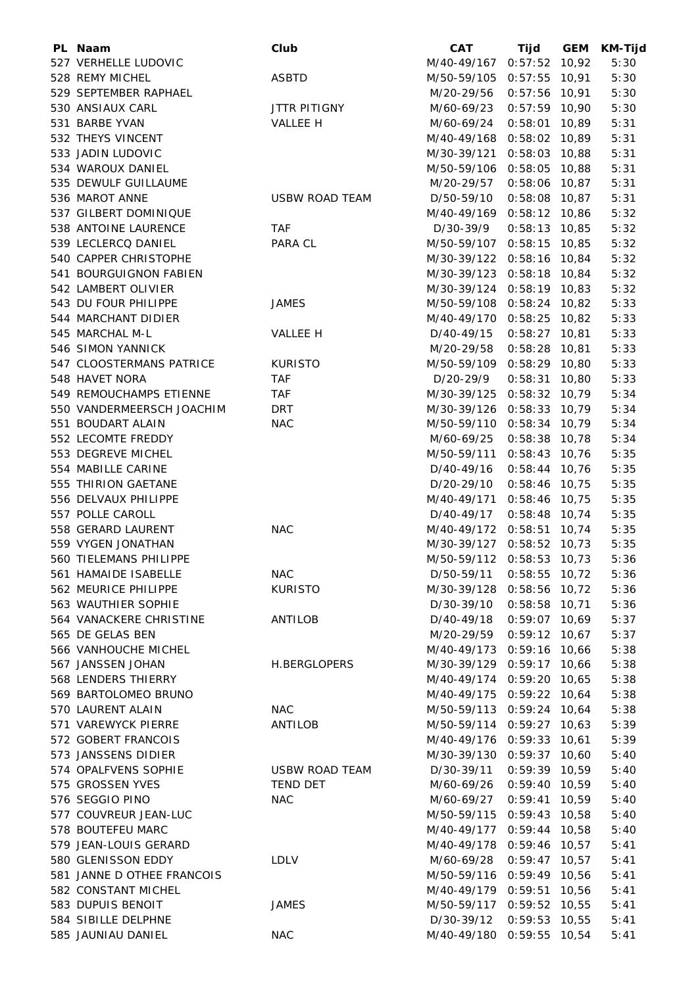| PL Naam                                  | Club                  | <b>CAT</b>                | Tijd                               | <b>GEM</b> | <b>KM-Tijd</b> |
|------------------------------------------|-----------------------|---------------------------|------------------------------------|------------|----------------|
| 527 VERHELLE LUDOVIC                     |                       | M/40-49/167 0:57:52 10,92 |                                    |            | 5:30           |
| 528 REMY MICHEL                          | <b>ASBTD</b>          | M/50-59/105 0:57:55 10,91 |                                    |            | 5:30           |
| 529 SEPTEMBER RAPHAEL                    |                       | M/20-29/56                | $0:57:56$ 10,91                    |            | 5:30           |
| 530 ANSIAUX CARL                         | <b>JTTR PITIGNY</b>   | M/60-69/23                | $0:57:59$ 10,90                    |            | 5:30           |
| 531 BARBE YVAN                           | VALLEE H              | M/60-69/24                | $0:58:01$ 10,89                    |            | 5:31           |
| 532 THEYS VINCENT                        |                       | M/40-49/168 0:58:02 10,89 |                                    |            | 5:31           |
| 533 JADIN LUDOVIC                        |                       | M/30-39/121               | $0:58:03$ 10,88                    |            | 5:31           |
| 534 WAROUX DANIEL                        |                       | M/50-59/106 0:58:05 10,88 |                                    |            | 5:31           |
| 535 DEWULF GUILLAUME                     |                       | M/20-29/57                | $0:58:06$ 10,87                    |            | 5:31           |
| 536 MAROT ANNE                           | <b>USBW ROAD TEAM</b> | D/50-59/10                | $0:58:08$ 10,87                    |            | 5:31           |
| 537 GILBERT DOMINIQUE                    |                       | M/40-49/169 0:58:12 10,86 |                                    |            | 5:32           |
| 538 ANTOINE LAURENCE                     | <b>TAF</b>            | D/30-39/9                 | $0:58:13$ 10,85                    |            | 5:32           |
| 539 LECLERCQ DANIEL                      | PARA CL               | M/50-59/107 0:58:15 10,85 |                                    |            | 5:32           |
| 540 CAPPER CHRISTOPHE                    |                       | M/30-39/122 0:58:16 10,84 |                                    |            | 5:32           |
| 541 BOURGUIGNON FABIEN                   |                       | M/30-39/123 0:58:18 10,84 |                                    |            | 5:32           |
| 542 LAMBERT OLIVIER                      |                       | M/30-39/124 0:58:19 10,83 |                                    |            | 5:32           |
| 543 DU FOUR PHILIPPE                     | <b>JAMES</b>          | M/50-59/108 0:58:24 10,82 |                                    |            | 5:33           |
| 544 MARCHANT DIDIER                      |                       | M/40-49/170 0:58:25 10,82 |                                    |            | 5:33           |
| 545 MARCHAL M-L                          | VALLEE H              | D/40-49/15                | $0:58:27$ 10,81                    |            | 5:33           |
| 546 SIMON YANNICK                        |                       | M/20-29/58                | $0:58:28$ 10,81                    |            | 5:33           |
| 547 CLOOSTERMANS PATRICE                 | <b>KURISTO</b>        | M/50-59/109 0:58:29 10,80 |                                    |            | 5:33           |
| 548 HAVET NORA                           | <b>TAF</b>            | D/20-29/9                 | $0:58:31$ 10,80                    |            | 5:33           |
| 549 REMOUCHAMPS ETIENNE                  | TAF                   | M/30-39/125 0:58:32 10,79 |                                    |            | 5:34           |
| 550 VANDERMEERSCH JOACHIM                | DRT                   | M/30-39/126 0:58:33 10,79 |                                    |            | 5:34           |
| 551 BOUDART ALAIN                        | <b>NAC</b>            | M/50-59/110 0:58:34 10,79 |                                    |            | 5:34           |
| 552 LECOMTE FREDDY<br>553 DEGREVE MICHEL |                       | M/60-69/25                | $0:58:38$ 10,78                    |            | 5:34<br>5:35   |
| 554 MABILLE CARINE                       |                       | M/50-59/111<br>D/40-49/16 | $0:58:43$ 10,76<br>$0:58:44$ 10,76 |            | 5:35           |
| 555 THIRION GAETANE                      |                       | D/20-29/10                | $0:58:46$ 10,75                    |            | 5:35           |
| 556 DELVAUX PHILIPPE                     |                       | M/40-49/171 0:58:46 10,75 |                                    |            | 5:35           |
| 557 POLLE CAROLL                         |                       | D/40-49/17                | $0:58:48$ 10,74                    |            | 5:35           |
| 558 GERARD LAURENT                       | <b>NAC</b>            | M/40-49/172 0:58:51 10,74 |                                    |            | 5:35           |
| 559 VYGEN JONATHAN                       |                       | M/30-39/127 0:58:52 10,73 |                                    |            | 5:35           |
| 560 TIELEMANS PHILIPPE                   |                       | M/50-59/112 0:58:53 10,73 |                                    |            | 5:36           |
| 561 HAMAIDE ISABELLE                     | <b>NAC</b>            | D/50-59/11                | $0:58:55$ 10,72                    |            | 5:36           |
| 562 MEURICE PHILIPPE                     | <b>KURISTO</b>        | M/30-39/128 0:58:56 10,72 |                                    |            | 5:36           |
| 563 WAUTHIER SOPHIE                      |                       | D/30-39/10                | $0:58:58$ 10,71                    |            | 5:36           |
| 564 VANACKERE CHRISTINE                  | ANTILOB               | D/40-49/18                | $0:59:07$ 10,69                    |            | 5:37           |
| 565 DE GELAS BEN                         |                       | M/20-29/59                | $0:59:12$ 10,67                    |            | 5:37           |
| 566 VANHOUCHE MICHEL                     |                       | M/40-49/173 0:59:16 10,66 |                                    |            | 5:38           |
| 567 JANSSEN JOHAN                        | H.BERGLOPERS          | M/30-39/129 0:59:17 10,66 |                                    |            | 5:38           |
| 568 LENDERS THIERRY                      |                       | M/40-49/174 0:59:20 10,65 |                                    |            | 5:38           |
| 569 BARTOLOMEO BRUNO                     |                       | M/40-49/175 0:59:22 10,64 |                                    |            | 5:38           |
| 570 LAURENT ALAIN                        | <b>NAC</b>            | M/50-59/113 0:59:24 10,64 |                                    |            | 5:38           |
| 571 VAREWYCK PIERRE                      | ANTILOB               | M/50-59/114 0:59:27 10,63 |                                    |            | 5:39           |
| 572 GOBERT FRANCOIS                      |                       | M/40-49/176 0:59:33 10,61 |                                    |            | 5:39           |
| 573 JANSSENS DIDIER                      |                       | M/30-39/130 0:59:37 10,60 |                                    |            | 5:40           |
| 574 OPALFVENS SOPHIE                     | USBW ROAD TEAM        | D/30-39/11                | $0:59:39$ 10,59                    |            | 5:40           |
| 575 GROSSEN YVES                         | <b>TEND DET</b>       | M/60-69/26                | $0:59:40$ 10,59                    |            | 5:40           |
| 576 SEGGIO PINO                          | <b>NAC</b>            | M/60-69/27                | $0:59:41$ 10,59                    |            | 5:40           |
| 577 COUVREUR JEAN-LUC                    |                       | M/50-59/115 0:59:43 10,58 |                                    |            | 5:40           |
| 578 BOUTEFEU MARC                        |                       | M/40-49/177 0:59:44 10,58 |                                    |            | 5:40           |
| 579 JEAN-LOUIS GERARD                    |                       | M/40-49/178 0:59:46 10,57 |                                    |            | 5:41           |
| 580 GLENISSON EDDY                       | <b>LDLV</b>           | M/60-69/28                | $0:59:47$ 10,57                    |            | 5:41           |
| 581 JANNE D OTHEE FRANCOIS               |                       | M/50-59/116 0:59:49 10,56 |                                    |            | 5:41           |
| 582 CONSTANT MICHEL                      |                       | M/40-49/179 0:59:51 10,56 |                                    |            | 5:41           |
| 583 DUPUIS BENOIT                        | <b>JAMES</b>          | M/50-59/117               | $0:59:52$ 10,55                    |            | 5:41           |
| 584 SIBILLE DELPHNE                      |                       | D/30-39/12                | $0:59:53$ 10,55                    |            | 5:41           |
| 585 JAUNIAU DANIEL                       | <b>NAC</b>            | M/40-49/180 0:59:55 10,54 |                                    |            | 5:41           |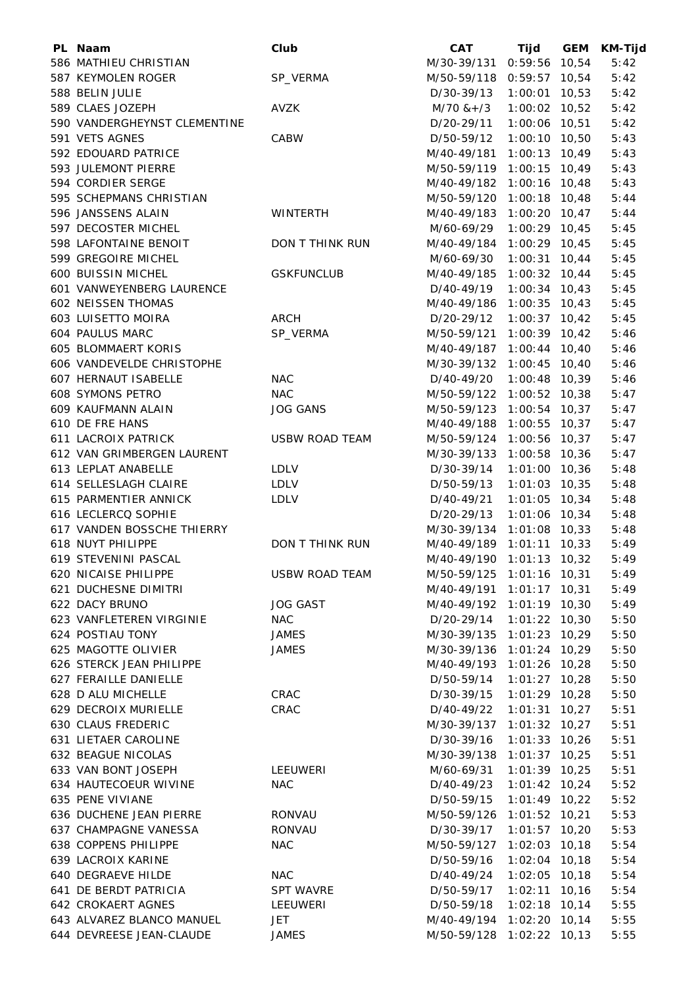| PL Naam                                          | Club                  | <b>CAT</b>                | Tijd                               | <b>GEM</b> | <b>KM-Tijd</b> |
|--------------------------------------------------|-----------------------|---------------------------|------------------------------------|------------|----------------|
| 586 MATHIEU CHRISTIAN                            |                       | M/30-39/131               | 0:59:56                            | 10,54      | 5:42           |
| 587 KEYMOLEN ROGER                               | SP_VERMA              | M/50-59/118 0:59:57 10,54 |                                    |            | 5:42           |
| 588 BELIN JULIE                                  |                       | D/30-39/13                | $1:00:01$ 10,53                    |            | 5:42           |
| 589 CLAES JOZEPH                                 | <b>AVZK</b>           | $M/70$ & + /3             | $1:00:02$ 10,52                    |            | 5:42           |
| 590 VANDERGHEYNST CLEMENTINE                     |                       | D/20-29/11                | 1:00:06 10,51                      |            | 5:42           |
| 591 VETS AGNES                                   | CABW                  | D/50-59/12                | $1:00:10$ 10,50                    |            | 5:43           |
| 592 EDOUARD PATRICE                              |                       | M/40-49/181               | $1:00:13$ 10,49                    |            | 5:43           |
| 593 JULEMONT PIERRE                              |                       | M/50-59/119               | 1:00:15 10,49                      |            | 5:43           |
| 594 CORDIER SERGE                                |                       | M/40-49/182               | $1:00:16$ 10,48                    |            | 5:43           |
| 595 SCHEPMANS CHRISTIAN                          |                       | M/50-59/120               | $1:00:18$ 10,48                    |            | 5:44           |
| 596 JANSSENS ALAIN                               | <b>WINTERTH</b>       | M/40-49/183               | $1:00:20$ 10,47                    |            | 5:44           |
| 597 DECOSTER MICHEL                              |                       | M/60-69/29                | $1:00:29$ 10,45                    |            | 5:45           |
| 598 LAFONTAINE BENOIT                            | DON T THINK RUN       | M/40-49/184               | $1:00:29$ 10,45                    |            | 5:45           |
| 599 GREGOIRE MICHEL                              |                       | M/60-69/30                | $1:00:31$ 10,44                    |            | 5:45           |
| 600 BUISSIN MICHEL                               | <b>GSKFUNCLUB</b>     | M/40-49/185               | $1:00:32$ 10,44                    |            | 5:45           |
| 601 VANWEYENBERG LAURENCE                        |                       | D/40-49/19                | $1:00:34$ 10,43                    |            | 5:45           |
| 602 NEISSEN THOMAS                               |                       | M/40-49/186               | $1:00:35$ 10,43                    |            | 5:45           |
| 603 LUISETTO MOIRA                               | <b>ARCH</b>           | D/20-29/12                | $1:00:37$ 10,42                    |            | 5:45           |
| 604 PAULUS MARC                                  | SP_VERMA              | M/50-59/121               | $1:00:39$ 10,42                    |            | 5:46           |
| 605 BLOMMAERT KORIS                              |                       | M/40-49/187               | $1:00:44$ 10,40                    |            | 5:46           |
| 606 VANDEVELDE CHRISTOPHE                        |                       | M/30-39/132               | $1:00:45$ 10,40                    |            | 5:46           |
| 607 HERNAUT ISABELLE                             | <b>NAC</b>            | D/40-49/20                | $1:00:48$ 10,39                    |            | 5:46           |
| 608 SYMONS PETRO                                 | <b>NAC</b>            | M/50-59/122               | $1:00:52$ 10,38                    |            | 5:47           |
| 609 KAUFMANN ALAIN                               | <b>JOG GANS</b>       | M/50-59/123               | $1:00:54$ 10,37                    |            | 5:47           |
| 610 DE FRE HANS                                  |                       | M/40-49/188               | $1:00:55$ 10,37                    |            | 5:47           |
| <b>611 LACROIX PATRICK</b>                       | <b>USBW ROAD TEAM</b> | M/50-59/124               | 1:00:56 10,37                      |            | 5:47           |
| 612 VAN GRIMBERGEN LAURENT                       |                       | M/30-39/133               | 1:00:58 10,36                      |            | 5:47           |
| 613 LEPLAT ANABELLE                              | <b>LDLV</b>           | D/30-39/14                | $1:01:00$ 10,36                    |            | 5:48           |
| 614 SELLESLAGH CLAIRE                            | LDLV                  | D/50-59/13                | $1:01:03$ 10,35                    |            | 5:48           |
| 615 PARMENTIER ANNICK                            | <b>LDLV</b>           | D/40-49/21                | $1:01:05$ 10,34                    |            | 5:48           |
| 616 LECLERCQ SOPHIE                              |                       | D/20-29/13                | 1:01:06 10,34                      |            | 5:48           |
| 617 VANDEN BOSSCHE THIERRY                       |                       | M/30-39/134 1:01:08 10,33 |                                    |            | 5:48           |
| 618 NUYT PHILIPPE                                | DON T THINK RUN       | M/40-49/189               | $1:01:11$ 10,33                    |            | 5:49           |
| 619 STEVENINI PASCAL                             |                       | M/40-49/190               | 1:01:13                            | 10,32      | 5:49           |
| 620 NICAISE PHILIPPE                             | USBW ROAD TEAM        | M/50-59/125 1:01:16 10,31 |                                    |            | 5:49           |
| 621 DUCHESNE DIMITRI                             |                       | M/40-49/191               | $1:01:17$ 10,31                    |            | 5:49           |
| 622 DACY BRUNO                                   | <b>JOG GAST</b>       | M/40-49/192 1:01:19 10,30 |                                    |            | 5:49           |
| 623 VANFLETEREN VIRGINIE                         | <b>NAC</b>            | D/20-29/14                | $1:01:22$ 10,30                    |            | 5:50           |
| 624 POSTIAU TONY                                 | JAMES                 | M/30-39/135 1:01:23 10,29 |                                    |            | 5:50           |
| 625 MAGOTTE OLIVIER                              | JAMES                 | M/30-39/136               | $1:01:24$ 10,29                    |            | 5:50           |
| 626 STERCK JEAN PHILIPPE                         |                       | M/40-49/193               | $1:01:26$ 10,28                    |            | 5:50           |
| 627 FERAILLE DANIELLE                            |                       | D/50-59/14                | $1:01:27$ 10,28                    |            | 5:50           |
| 628 D ALU MICHELLE                               | CRAC                  | D/30-39/15                | $1:01:29$ 10,28                    |            | 5:50           |
| 629 DECROIX MURIELLE                             | CRAC                  | D/40-49/22                | 1:01:31                            | 10,27      | 5:51           |
| 630 CLAUS FREDERIC                               |                       | M/30-39/137               | $1:01:32$ 10,27                    |            | 5:51           |
| 631 LIETAER CAROLINE                             |                       | D/30-39/16                | $1:01:33$ 10,26                    |            | 5:51           |
| 632 BEAGUE NICOLAS                               |                       | M/30-39/138               | $1:01:37$ 10,25                    |            | 5:51           |
| 633 VAN BONT JOSEPH                              | LEEUWERI              | M/60-69/31                | $1:01:39$ 10,25                    |            | 5:51           |
| 634 HAUTECOEUR WIVINE                            | <b>NAC</b>            | D/40-49/23                | $1:01:42$ 10,24                    |            | 5:52           |
|                                                  |                       |                           |                                    |            |                |
| 635 PENE VIVIANE                                 |                       | D/50-59/15                | $1:01:49$ 10,22                    |            | 5:52           |
| 636 DUCHENE JEAN PIERRE<br>637 CHAMPAGNE VANESSA | RONVAU<br>RONVAU      | M/50-59/126<br>D/30-39/17 | $1:01:52$ 10,21<br>$1:01:57$ 10,20 |            | 5:53<br>5:53   |
|                                                  |                       |                           |                                    |            |                |
| 638 COPPENS PHILIPPE                             | <b>NAC</b>            | M/50-59/127               | $1:02:03$ 10,18                    |            | 5:54           |
| 639 LACROIX KARINE                               |                       | D/50-59/16                | $1:02:04$ 10,18                    |            | 5:54           |
| 640 DEGRAEVE HILDE                               | <b>NAC</b>            | D/40-49/24                | 1:02:05 10,18                      |            | 5:54           |
| 641 DE BERDT PATRICIA                            | <b>SPT WAVRE</b>      | D/50-59/17                | $1:02:11$ 10,16                    |            | 5:54           |
| 642 CROKAERT AGNES                               | LEEUWERI              | D/50-59/18                | $1:02:18$ 10,14                    |            | 5:55           |
| 643 ALVAREZ BLANCO MANUEL                        | <b>JET</b>            | M/40-49/194               | $1:02:20$ 10,14                    |            | 5:55           |
| 644 DEVREESE JEAN-CLAUDE                         | JAMES                 | M/50-59/128 1:02:22 10,13 |                                    |            | 5:55           |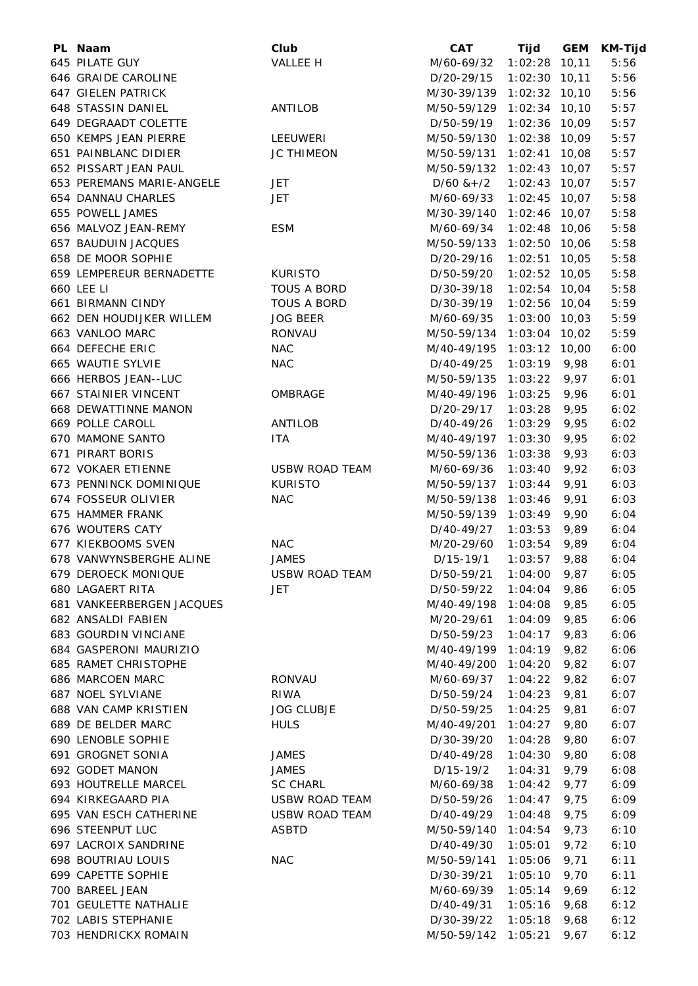| PL Naam                      | Club                  | <b>CAT</b>                | Tijd            | <b>GEM</b> | <b>KM-Tijd</b> |
|------------------------------|-----------------------|---------------------------|-----------------|------------|----------------|
| 645 PILATE GUY               | VALLEE H              | M/60-69/32                | $1:02:28$ 10,11 |            | 5:56           |
| 646 GRAIDE CAROLINE          |                       | D/20-29/15                | $1:02:30$ 10,11 |            | 5:56           |
| 647 GIELEN PATRICK           |                       | M/30-39/139 1:02:32 10,10 |                 |            | 5:56           |
| 648 STASSIN DANIEL           | ANTILOB               | M/50-59/129 1:02:34 10,10 |                 |            | 5:57           |
| 649 DEGRAADT COLETTE         |                       | D/50-59/19                | $1:02:36$ 10,09 |            | 5:57           |
| 650 KEMPS JEAN PIERRE        | LEEUWERI              | M/50-59/130 1:02:38 10,09 |                 |            | 5:57           |
| 651 PAINBLANC DIDIER         | <b>JC THIMEON</b>     | M/50-59/131               | $1:02:41$ 10,08 |            | 5:57           |
| 652 PISSART JEAN PAUL        |                       | M/50-59/132 1:02:43 10,07 |                 |            | 5:57           |
| 653 PEREMANS MARIE-ANGELE    | <b>JET</b>            | $D/60$ & +/2              | $1:02:43$ 10,07 |            | 5:57           |
| 654 DANNAU CHARLES           | <b>JET</b>            | M/60-69/33                | $1:02:45$ 10,07 |            | 5:58           |
| 655 POWELL JAMES             |                       | M/30-39/140               | $1:02:46$ 10,07 |            | 5:58           |
| 656 MALVOZ JEAN-REMY         | <b>ESM</b>            |                           | $1:02:48$ 10,06 |            | 5:58           |
|                              |                       | M/60-69/34                |                 |            |                |
| 657 BAUDUIN JACQUES          |                       | M/50-59/133 1:02:50 10,06 |                 |            | 5:58           |
| 658 DE MOOR SOPHIE           |                       | D/20-29/16                | $1:02:51$ 10,05 |            | 5:58           |
| 659 LEMPEREUR BERNADETTE     | <b>KURISTO</b>        | D/50-59/20                | $1:02:52$ 10,05 |            | 5:58           |
| 660 LEE LI                   | TOUS A BORD           | D/30-39/18                | 1:02:54 10,04   |            | 5:58           |
| 661 BIRMANN CINDY            | <b>TOUS A BORD</b>    | D/30-39/19                | $1:02:56$ 10,04 |            | 5:59           |
| 662 DEN HOUDIJKER WILLEM     | <b>JOG BEER</b>       | M/60-69/35                | $1:03:00$ 10,03 |            | 5:59           |
| 663 VANLOO MARC              | RONVAU                | M/50-59/134 1:03:04 10,02 |                 |            | 5:59           |
| 664 DEFECHE ERIC             | <b>NAC</b>            | M/40-49/195 1:03:12 10,00 |                 |            | 6:00           |
| 665 WAUTIE SYLVIE            | <b>NAC</b>            | D/40-49/25                | $1:03:19$ 9,98  |            | 6:01           |
| 666 HERBOS JEAN--LUC         |                       | M/50-59/135               | 1:03:22         | 9,97       | 6:01           |
| <b>667 STAINIER VINCENT</b>  | OMBRAGE               | M/40-49/196               | 1:03:25         | 9,96       | 6:01           |
| 668 DEWATTINNE MANON         |                       | D/20-29/17                | 1:03:28         | 9,95       | 6:02           |
| 669 POLLE CAROLL             | <b>ANTILOB</b>        | D/40-49/26                | 1:03:29         | 9,95       | 6:02           |
| 670 MAMONE SANTO             | <b>ITA</b>            | M/40-49/197 1:03:30       |                 | 9,95       | 6:02           |
| 671 PIRART BORIS             |                       | M/50-59/136 1:03:38       |                 | 9,93       | 6:03           |
| 672 VOKAER ETIENNE           | <b>USBW ROAD TEAM</b> | M/60-69/36                | 1:03:40         | 9,92       | 6:03           |
| 673 PENNINCK DOMINIQUE       | <b>KURISTO</b>        | M/50-59/137               | 1:03:44         | 9,91       | 6:03           |
| 674 FOSSEUR OLIVIER          | <b>NAC</b>            | M/50-59/138               | 1:03:46         | 9,91       | 6:03           |
| 675 HAMMER FRANK             |                       | M/50-59/139 1:03:49       |                 | 9,90       | 6:04           |
| 676 WOUTERS CATY             |                       | D/40-49/27                | 1:03:53         | 9,89       | 6:04           |
| 677 KIEKBOOMS SVEN           | <b>NAC</b>            | M/20-29/60                | 1:03:54         | 9,89       | 6:04           |
| 678 VANWYNSBERGHE ALINE      | <b>JAMES</b>          | $D/15-19/1$               | 1:03:57         | 9,88       | 6:04           |
|                              |                       |                           |                 |            |                |
| 679 DEROECK MONIQUE          | <b>USBW ROAD TEAM</b> | D/50-59/21                | 1:04:00         | 9,87       | 6:05           |
| 680 LAGAERT RITA             | <b>JET</b>            | D/50-59/22                | 1:04:04         | 9,86       | 6:05           |
| 681 VANKEERBERGEN JACQUES    |                       | M/40-49/198               | 1:04:08         | 9,85       | 6:05           |
| 682 ANSALDI FABIEN           |                       | M/20-29/61                | 1:04:09         | 9,85       | 6:06           |
| 683 GOURDIN VINCIANE         |                       | D/50-59/23                | 1:04:17         | 9,83       | 6:06           |
| 684 GASPERONI MAURIZIO       |                       | M/40-49/199               | 1:04:19         | 9,82       | 6:06           |
| 685 RAMET CHRISTOPHE         |                       | M/40-49/200               | 1:04:20         | 9,82       | 6:07           |
| 686 MARCOEN MARC             | RONVAU                | M/60-69/37                | 1:04:22         | 9,82       | 6:07           |
| 687 NOEL SYLVIANE            | <b>RIWA</b>           | D/50-59/24                | 1:04:23         | 9,81       | 6:07           |
| <b>688 VAN CAMP KRISTIEN</b> | <b>JOG CLUBJE</b>     | D/50-59/25                | 1:04:25         | 9,81       | 6:07           |
| 689 DE BELDER MARC           | <b>HULS</b>           | M/40-49/201               | 1:04:27         | 9,80       | 6:07           |
| 690 LENOBLE SOPHIE           |                       | D/30-39/20                | 1:04:28         | 9,80       | 6:07           |
| 691 GROGNET SONIA            | <b>JAMES</b>          | D/40-49/28                | 1:04:30         | 9,80       | 6:08           |
| 692 GODET MANON              | <b>JAMES</b>          | D/15-19/2                 | 1:04:31         | 9,79       | 6:08           |
| 693 HOUTRELLE MARCEL         | <b>SC CHARL</b>       | M/60-69/38                | 1:04:42         | 9,77       | 6:09           |
| 694 KIRKEGAARD PIA           | <b>USBW ROAD TEAM</b> | D/50-59/26                | 1:04:47         | 9,75       | 6:09           |
| 695 VAN ESCH CATHERINE       | <b>USBW ROAD TEAM</b> | D/40-49/29                | 1:04:48         | 9,75       | 6:09           |
| 696 STEENPUT LUC             | <b>ASBTD</b>          | M/50-59/140               | 1:04:54         | 9,73       | 6:10           |
| 697 LACROIX SANDRINE         |                       | D/40-49/30                | 1:05:01         | 9,72       | 6:10           |
| 698 BOUTRIAU LOUIS           | <b>NAC</b>            | M/50-59/141               | 1:05:06         | 9,71       | 6:11           |
| 699 CAPETTE SOPHIE           |                       | D/30-39/21                | 1:05:10         | 9,70       | 6:11           |
| 700 BAREEL JEAN              |                       | M/60-69/39                | 1:05:14         | 9,69       | 6:12           |
| 701 GEULETTE NATHALIE        |                       | D/40-49/31                | 1:05:16         | 9,68       | 6:12           |
| 702 LABIS STEPHANIE          |                       | D/30-39/22                | 1:05:18         | 9,68       | 6:12           |
| 703 HENDRICKX ROMAIN         |                       | M/50-59/142               | 1:05:21         | 9,67       | 6:12           |
|                              |                       |                           |                 |            |                |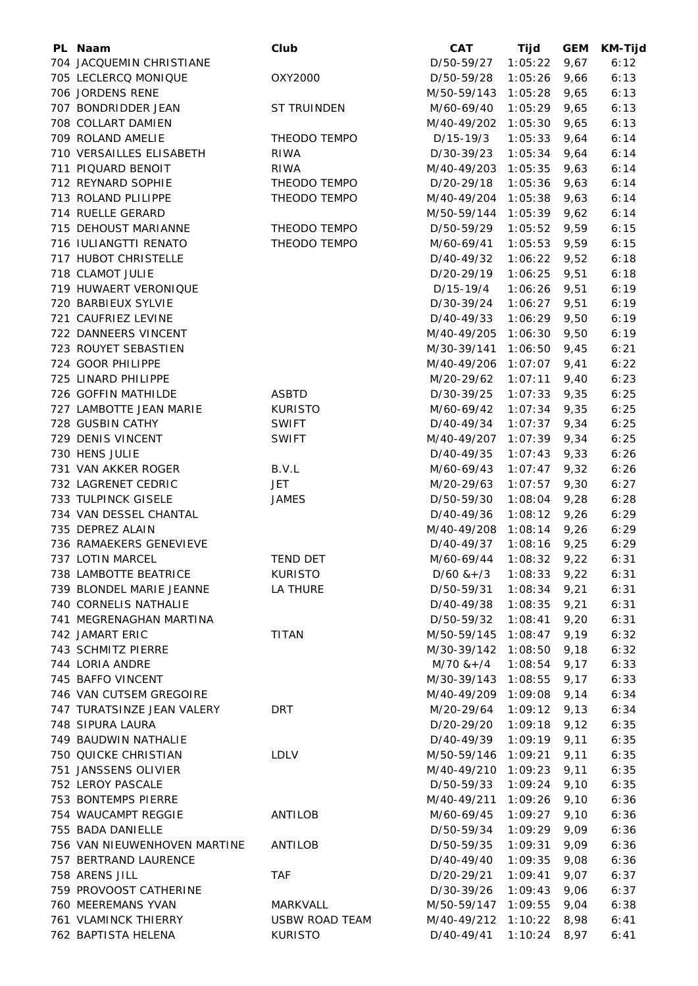| PL Naam                      | Club                  | <b>CAT</b>      | Tijd    | <b>GEM</b> | KM-Tijd |
|------------------------------|-----------------------|-----------------|---------|------------|---------|
| 704 JACQUEMIN CHRISTIANE     |                       | D/50-59/27      | 1:05:22 | 9,67       | 6:12    |
| 705 LECLERCQ MONIQUE         | OXY2000               | D/50-59/28      | 1:05:26 | 9,66       | 6:13    |
| 706 JORDENS RENE             |                       | M/50-59/143     | 1:05:28 | 9,65       | 6:13    |
| 707 BONDRIDDER JEAN          | ST TRUINDEN           | M/60-69/40      | 1:05:29 | 9,65       | 6:13    |
| 708 COLLART DAMIEN           |                       | M/40-49/202     | 1:05:30 | 9,65       | 6:13    |
| 709 ROLAND AMELIE            | THEODO TEMPO          | $D/15-19/3$     | 1:05:33 | 9,64       | 6:14    |
| 710 VERSAILLES ELISABETH     | <b>RIWA</b>           | D/30-39/23      | 1:05:34 | 9,64       | 6:14    |
| 711 PIQUARD BENOIT           | RIWA                  | M/40-49/203     | 1:05:35 | 9,63       | 6:14    |
| 712 REYNARD SOPHIE           | THEODO TEMPO          | D/20-29/18      | 1:05:36 | 9,63       | 6:14    |
| 713 ROLAND PLILIPPE          | THEODO TEMPO          | M/40-49/204     | 1:05:38 | 9,63       | 6:14    |
| 714 RUELLE GERARD            |                       | M/50-59/144     | 1:05:39 | 9,62       | 6:14    |
| 715 DEHOUST MARIANNE         | THEODO TEMPO          | D/50-59/29      | 1:05:52 | 9,59       | 6:15    |
| 716 IULIANGTTI RENATO        | THEODO TEMPO          | M/60-69/41      | 1:05:53 | 9,59       | 6:15    |
| 717 HUBOT CHRISTELLE         |                       | D/40-49/32      | 1:06:22 | 9,52       | 6:18    |
| 718 CLAMOT JULIE             |                       | D/20-29/19      | 1:06:25 | 9,51       | 6:18    |
| 719 HUWAERT VERONIQUE        |                       | D/15-19/4       | 1:06:26 | 9,51       | 6:19    |
|                              |                       |                 |         |            |         |
| 720 BARBIEUX SYLVIE          |                       | D/30-39/24      | 1:06:27 | 9,51       | 6:19    |
| 721 CAUFRIEZ LEVINE          |                       | D/40-49/33      | 1:06:29 | 9,50       | 6:19    |
| 722 DANNEERS VINCENT         |                       | M/40-49/205     | 1:06:30 | 9,50       | 6:19    |
| 723 ROUYET SEBASTIEN         |                       | M/30-39/141     | 1:06:50 | 9,45       | 6:21    |
| 724 GOOR PHILIPPE            |                       | M/40-49/206     | 1:07:07 | 9,41       | 6:22    |
| 725 LINARD PHILIPPE          |                       | M/20-29/62      | 1:07:11 | 9,40       | 6:23    |
| 726 GOFFIN MATHILDE          | <b>ASBTD</b>          | D/30-39/25      | 1:07:33 | 9,35       | 6:25    |
| 727 LAMBOTTE JEAN MARIE      | <b>KURISTO</b>        | M/60-69/42      | 1:07:34 | 9,35       | 6:25    |
| 728 GUSBIN CATHY             | <b>SWIFT</b>          | D/40-49/34      | 1:07:37 | 9,34       | 6:25    |
| 729 DENIS VINCENT            | <b>SWIFT</b>          | M/40-49/207     | 1:07:39 | 9,34       | 6:25    |
| 730 HENS JULIE               |                       | D/40-49/35      | 1:07:43 | 9,33       | 6:26    |
| 731 VAN AKKER ROGER          | B.V.L                 | M/60-69/43      | 1:07:47 | 9,32       | 6:26    |
| 732 LAGRENET CEDRIC          | <b>JET</b>            | M/20-29/63      | 1:07:57 | 9,30       | 6:27    |
| 733 TULPINCK GISELE          | <b>JAMES</b>          | D/50-59/30      | 1:08:04 | 9,28       | 6:28    |
| 734 VAN DESSEL CHANTAL       |                       | D/40-49/36      | 1:08:12 | 9,26       | 6:29    |
| 735 DEPREZ ALAIN             |                       | M/40-49/208     | 1:08:14 | 9,26       | 6:29    |
| 736 RAMAEKERS GENEVIEVE      |                       | D/40-49/37      | 1:08:16 | 9,25       | 6:29    |
| 737 LOTIN MARCEL             | <b>TEND DET</b>       | M/60-69/44      | 1:08:32 | 9,22       | 6:31    |
| 738 LAMBOTTE BEATRICE        | <b>KURISTO</b>        | $D/60$ & + $/3$ | 1:08:33 | 9,22       | 6:31    |
| 739 BLONDEL MARIE JEANNE     | LA THURE              | D/50-59/31      | 1:08:34 | 9,21       | 6:31    |
| 740 CORNELIS NATHALIE        |                       | D/40-49/38      | 1:08:35 | 9,21       | 6:31    |
| 741 MEGRENAGHAN MARTINA      |                       | D/50-59/32      | 1:08:41 | 9,20       | 6:31    |
| 742 JAMART ERIC              | <b>TITAN</b>          | M/50-59/145     | 1:08:47 | 9,19       | 6:32    |
| 743 SCHMITZ PIERRE           |                       | M/30-39/142     | 1:08:50 | 9,18       | 6:32    |
| 744 LORIA ANDRE              |                       | $M/70$ & + /4   | 1:08:54 | 9,17       | 6:33    |
| 745 BAFFO VINCENT            |                       | M/30-39/143     | 1:08:55 | 9,17       | 6:33    |
| 746 VAN CUTSEM GREGOIRE      |                       | M/40-49/209     | 1:09:08 | 9,14       | 6:34    |
| 747 TURATSINZE JEAN VALERY   | <b>DRT</b>            | M/20-29/64      | 1:09:12 | 9,13       | 6:34    |
| 748 SIPURA LAURA             |                       | D/20-29/20      | 1:09:18 | 9,12       | 6:35    |
| 749 BAUDWIN NATHALIE         |                       | D/40-49/39      | 1:09:19 | 9,11       | 6:35    |
| 750 QUICKE CHRISTIAN         | <b>LDLV</b>           | M/50-59/146     | 1:09:21 | 9,11       | 6:35    |
| 751 JANSSENS OLIVIER         |                       | M/40-49/210     | 1:09:23 | 9,11       | 6:35    |
| 752 LEROY PASCALE            |                       | D/50-59/33      | 1:09:24 | 9,10       | 6:35    |
| 753 BONTEMPS PIERRE          |                       | M/40-49/211     |         | 9,10       |         |
|                              |                       |                 | 1:09:26 |            | 6:36    |
| 754 WAUCAMPT REGGIE          | ANTILOB               | M/60-69/45      | 1:09:27 | 9,10       | 6:36    |
| 755 BADA DANIELLE            |                       | D/50-59/34      | 1:09:29 | 9,09       | 6:36    |
| 756 VAN NIEUWENHOVEN MARTINE | <b>ANTILOB</b>        | D/50-59/35      | 1:09:31 | 9,09       | 6:36    |
| 757 BERTRAND LAURENCE        |                       | D/40-49/40      | 1:09:35 | 9,08       | 6:36    |
| 758 ARENS JILL               | <b>TAF</b>            | D/20-29/21      | 1:09:41 | 9,07       | 6:37    |
| 759 PROVOOST CATHERINE       |                       | D/30-39/26      | 1:09:43 | 9,06       | 6:37    |
| 760 MEEREMANS YVAN           | MARKVALL              | M/50-59/147     | 1:09:55 | 9,04       | 6:38    |
| 761 VLAMINCK THIERRY         | <b>USBW ROAD TEAM</b> | M/40-49/212     | 1:10:22 | 8,98       | 6:41    |
| 762 BAPTISTA HELENA          | <b>KURISTO</b>        | D/40-49/41      | 1:10:24 | 8,97       | 6:41    |